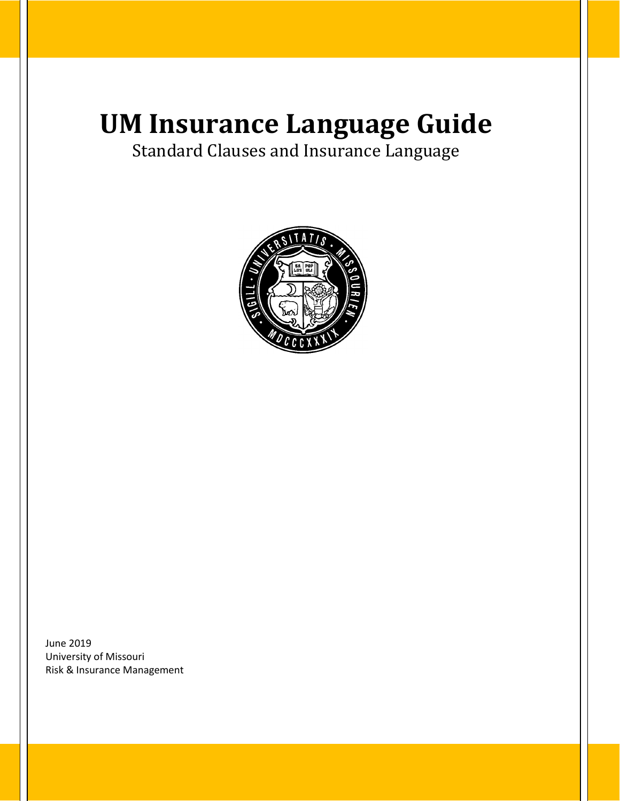# **UM Insurance Language Guide**

Standard Clauses and Insurance Language



June 2019 University of Missouri Risk & Insurance Management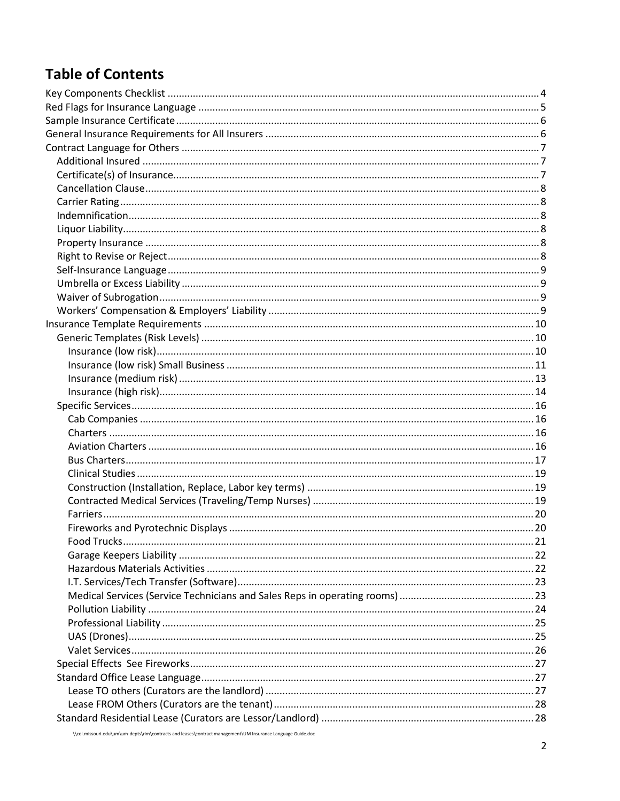## **Table of Contents**

| <b>Eood Trucks</b> |  |
|--------------------|--|
|                    |  |
|                    |  |
|                    |  |
|                    |  |
|                    |  |
|                    |  |
|                    |  |
|                    |  |
|                    |  |
|                    |  |
|                    |  |
|                    |  |
|                    |  |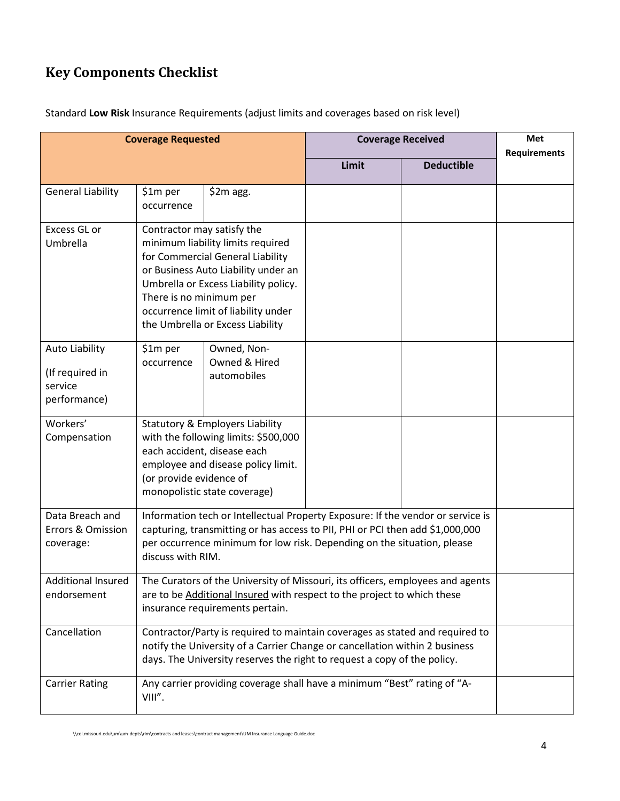# <span id="page-3-0"></span>**Key Components Checklist**

| Standard Low Risk Insurance Requirements (adjust limits and coverages based on risk level) |  |  |
|--------------------------------------------------------------------------------------------|--|--|
|--------------------------------------------------------------------------------------------|--|--|

|                                                                     | <b>Coverage Requested</b>                                                                                                                                                                                                                                        |                                                                                                                                                                                                                                 |       | <b>Coverage Received</b> | Met                 |
|---------------------------------------------------------------------|------------------------------------------------------------------------------------------------------------------------------------------------------------------------------------------------------------------------------------------------------------------|---------------------------------------------------------------------------------------------------------------------------------------------------------------------------------------------------------------------------------|-------|--------------------------|---------------------|
|                                                                     |                                                                                                                                                                                                                                                                  |                                                                                                                                                                                                                                 | Limit | <b>Deductible</b>        | <b>Requirements</b> |
| <b>General Liability</b>                                            | \$1m per<br>occurrence                                                                                                                                                                                                                                           | $$2m$ agg.                                                                                                                                                                                                                      |       |                          |                     |
| Excess GL or<br>Umbrella                                            | Contractor may satisfy the<br>There is no minimum per                                                                                                                                                                                                            | minimum liability limits required<br>for Commercial General Liability<br>or Business Auto Liability under an<br>Umbrella or Excess Liability policy.<br>occurrence limit of liability under<br>the Umbrella or Excess Liability |       |                          |                     |
| <b>Auto Liability</b><br>(If required in<br>service<br>performance) | \$1m per<br>occurrence                                                                                                                                                                                                                                           | Owned, Non-<br>Owned & Hired<br>automobiles                                                                                                                                                                                     |       |                          |                     |
| Workers'<br>Compensation                                            | <b>Statutory &amp; Employers Liability</b><br>with the following limits: \$500,000<br>each accident, disease each<br>employee and disease policy limit.<br>(or provide evidence of<br>monopolistic state coverage)                                               |                                                                                                                                                                                                                                 |       |                          |                     |
| Data Breach and<br>Errors & Omission<br>coverage:                   | Information tech or Intellectual Property Exposure: If the vendor or service is<br>capturing, transmitting or has access to PII, PHI or PCI then add \$1,000,000<br>per occurrence minimum for low risk. Depending on the situation, please<br>discuss with RIM. |                                                                                                                                                                                                                                 |       |                          |                     |
| Additional Insured<br>endorsement                                   | The Curators of the University of Missouri, its officers, employees and agents<br>are to be Additional Insured with respect to the project to which these<br>insurance requirements pertain.                                                                     |                                                                                                                                                                                                                                 |       |                          |                     |
| Cancellation                                                        | Contractor/Party is required to maintain coverages as stated and required to<br>notify the University of a Carrier Change or cancellation within 2 business<br>days. The University reserves the right to request a copy of the policy.                          |                                                                                                                                                                                                                                 |       |                          |                     |
| <b>Carrier Rating</b>                                               | VIII".                                                                                                                                                                                                                                                           | Any carrier providing coverage shall have a minimum "Best" rating of "A-                                                                                                                                                        |       |                          |                     |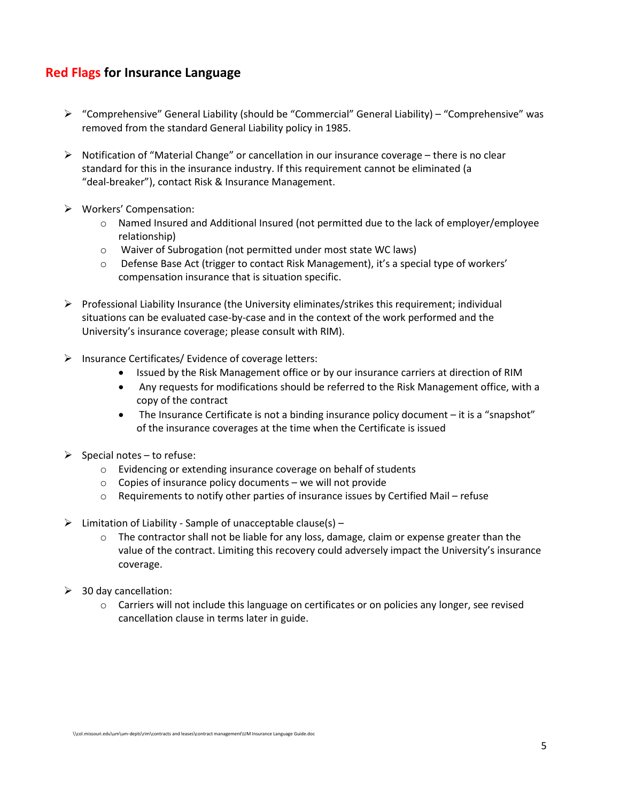#### <span id="page-4-0"></span>**Red Flags for Insurance Language**

- $\triangleright$  "Comprehensive" General Liability (should be "Commercial" General Liability) "Comprehensive" was removed from the standard General Liability policy in 1985.
- $\triangleright$  Notification of "Material Change" or cancellation in our insurance coverage there is no clear standard for this in the insurance industry. If this requirement cannot be eliminated (a "deal-breaker"), contact Risk & Insurance Management.
- Workers' Compensation:
	- o Named Insured and Additional Insured (not permitted due to the lack of employer/employee relationship)
	- o Waiver of Subrogation (not permitted under most state WC laws)
	- $\circ$  Defense Base Act (trigger to contact Risk Management), it's a special type of workers' compensation insurance that is situation specific.
- $\triangleright$  Professional Liability Insurance (the University eliminates/strikes this requirement; individual situations can be evaluated case-by-case and in the context of the work performed and the University's insurance coverage; please consult with RIM).
- $\triangleright$  Insurance Certificates/ Evidence of coverage letters:
	- Issued by the Risk Management office or by our insurance carriers at direction of RIM
	- Any requests for modifications should be referred to the Risk Management office, with a copy of the contract
	- The Insurance Certificate is not a binding insurance policy document it is a "snapshot" of the insurance coverages at the time when the Certificate is issued
- $\triangleright$  Special notes to refuse:
	- o Evidencing or extending insurance coverage on behalf of students
	- $\circ$  Copies of insurance policy documents we will not provide
	- $\circ$  Requirements to notify other parties of insurance issues by Certified Mail refuse
- $\triangleright$  Limitation of Liability Sample of unacceptable clause(s)
	- o The contractor shall not be liable for any loss, damage, claim or expense greater than the value of the contract. Limiting this recovery could adversely impact the University's insurance coverage.
- $\geq$  30 day cancellation:
	- o Carriers will not include this language on certificates or on policies any longer, see revised cancellation clause in terms later in guide.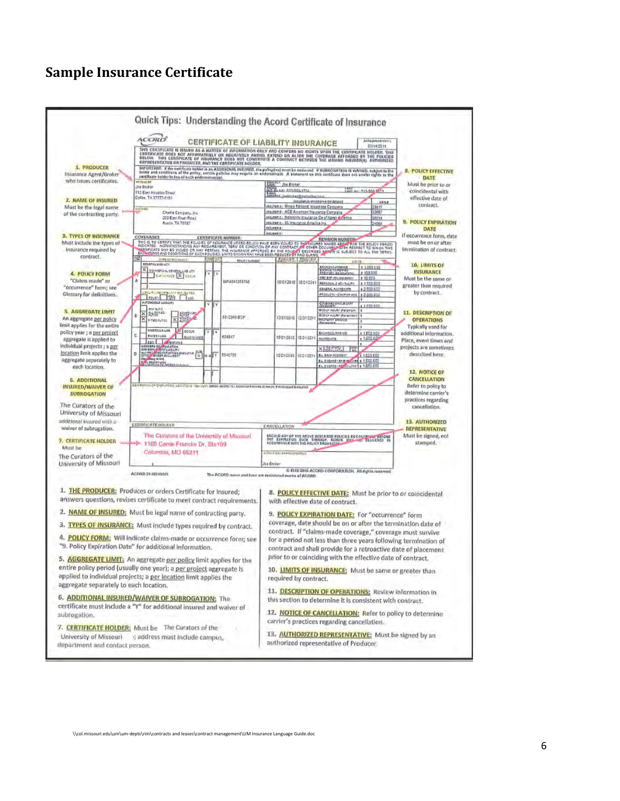#### <span id="page-5-1"></span><span id="page-5-0"></span>**Sample Insurance Certificate**

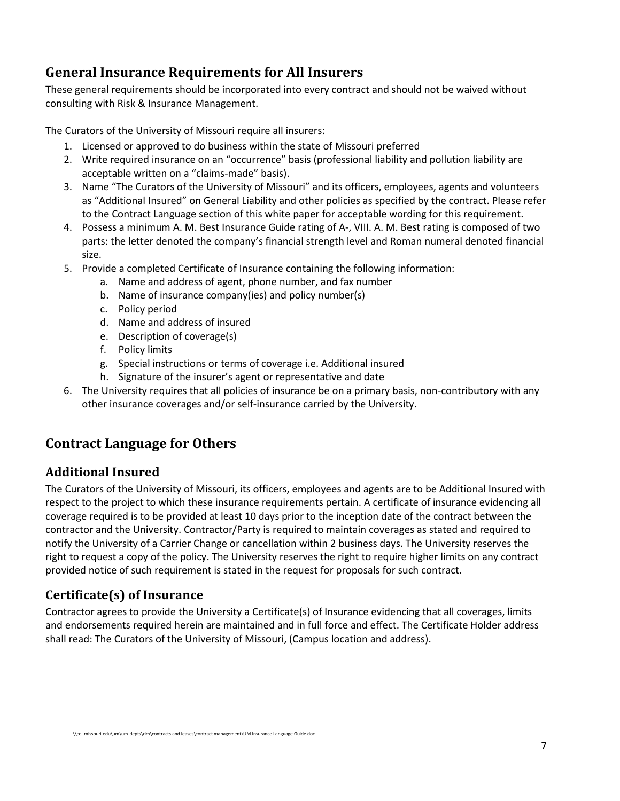## **General Insurance Requirements for All Insurers**

These general requirements should be incorporated into every contract and should not be waived without consulting with Risk & Insurance Management.

The Curators of the University of Missouri require all insurers:

- 1. Licensed or approved to do business within the state of Missouri preferred
- 2. Write required insurance on an "occurrence" basis (professional liability and pollution liability are acceptable written on a "claims-made" basis).
- 3. Name "The Curators of the University of Missouri" and its officers, employees, agents and volunteers as "Additional Insured" on General Liability and other policies as specified by the contract. Please refer to the Contract Language section of this white paper for acceptable wording for this requirement.
- 4. Possess a minimum A. M. Best Insurance Guide rating of A-, VIII. A. M. Best rating is composed of two parts: the letter denoted the company's financial strength level and Roman numeral denoted financial size.
- 5. Provide a completed Certificate of Insurance containing the following information:
	- a. Name and address of agent, phone number, and fax number
	- b. Name of insurance company(ies) and policy number(s)
	- c. Policy period
	- d. Name and address of insured
	- e. Description of coverage(s)
	- f. Policy limits
	- g. Special instructions or terms of coverage i.e. Additional insured
	- h. Signature of the insurer's agent or representative and date
- 6. The University requires that all policies of insurance be on a primary basis, non-contributory with any other insurance coverages and/or self-insurance carried by the University.

## <span id="page-6-0"></span>**Contract Language for Others**

## <span id="page-6-1"></span>**Additional Insured**

The Curators of the University of Missouri, its officers, employees and agents are to be Additional Insured with respect to the project to which these insurance requirements pertain. A certificate of insurance evidencing all coverage required is to be provided at least 10 days prior to the inception date of the contract between the contractor and the University. Contractor/Party is required to maintain coverages as stated and required to notify the University of a Carrier Change or cancellation within 2 business days. The University reserves the right to request a copy of the policy. The University reserves the right to require higher limits on any contract provided notice of such requirement is stated in the request for proposals for such contract.

## <span id="page-6-2"></span>**Certificate(s) of Insurance**

Contractor agrees to provide the University a Certificate(s) of Insurance evidencing that all coverages, limits and endorsements required herein are maintained and in full force and effect. The Certificate Holder address shall read: The Curators of the University of Missouri, (Campus location and address).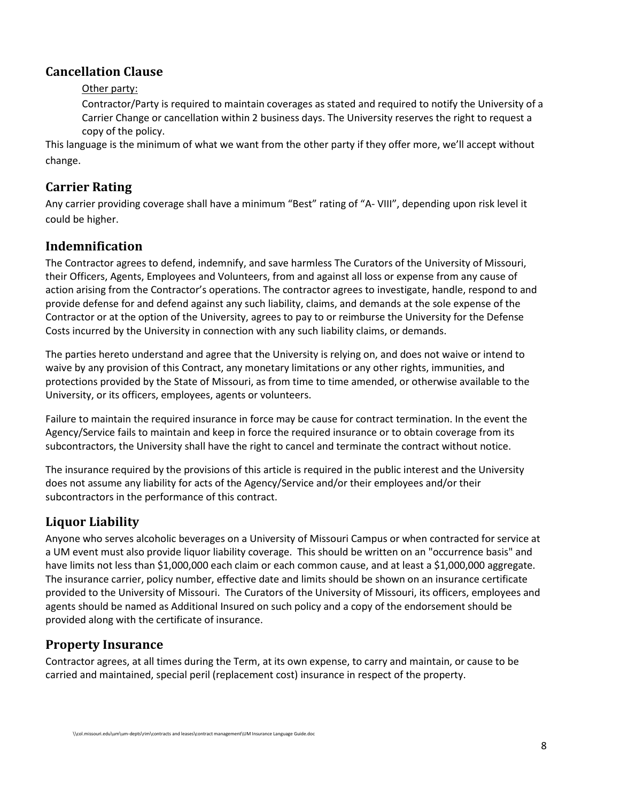#### <span id="page-7-0"></span>**Cancellation Clause**

#### Other party:

Contractor/Party is required to maintain coverages as stated and required to notify the University of a Carrier Change or cancellation within 2 business days. The University reserves the right to request a copy of the policy.

This language is the minimum of what we want from the other party if they offer more, we'll accept without change.

#### <span id="page-7-1"></span>**Carrier Rating**

Any carrier providing coverage shall have a minimum "Best" rating of "A- VIII", depending upon risk level it could be higher.

#### <span id="page-7-2"></span>**Indemnification**

The Contractor agrees to defend, indemnify, and save harmless The Curators of the University of Missouri, their Officers, Agents, Employees and Volunteers, from and against all loss or expense from any cause of action arising from the Contractor's operations. The contractor agrees to investigate, handle, respond to and provide defense for and defend against any such liability, claims, and demands at the sole expense of the Contractor or at the option of the University, agrees to pay to or reimburse the University for the Defense Costs incurred by the University in connection with any such liability claims, or demands.

The parties hereto understand and agree that the University is relying on, and does not waive or intend to waive by any provision of this Contract, any monetary limitations or any other rights, immunities, and protections provided by the State of Missouri, as from time to time amended, or otherwise available to the University, or its officers, employees, agents or volunteers.

Failure to maintain the required insurance in force may be cause for contract termination. In the event the Agency/Service fails to maintain and keep in force the required insurance or to obtain coverage from its subcontractors, the University shall have the right to cancel and terminate the contract without notice.

The insurance required by the provisions of this article is required in the public interest and the University does not assume any liability for acts of the Agency/Service and/or their employees and/or their subcontractors in the performance of this contract.

## <span id="page-7-3"></span>**Liquor Liability**

Anyone who serves alcoholic beverages on a University of Missouri Campus or when contracted for service at a UM event must also provide liquor liability coverage. This should be written on an "occurrence basis" and have limits not less than \$1,000,000 each claim or each common cause, and at least a \$1,000,000 aggregate. The insurance carrier, policy number, effective date and limits should be shown on an insurance certificate provided to the University of Missouri. The Curators of the University of Missouri, its officers, employees and agents should be named as Additional Insured on such policy and a copy of the endorsement should be provided along with the certificate of insurance.

## <span id="page-7-4"></span>**Property Insurance**

Contractor agrees, at all times during the Term, at its own expense, to carry and maintain, or cause to be carried and maintained, special peril (replacement cost) insurance in respect of the property.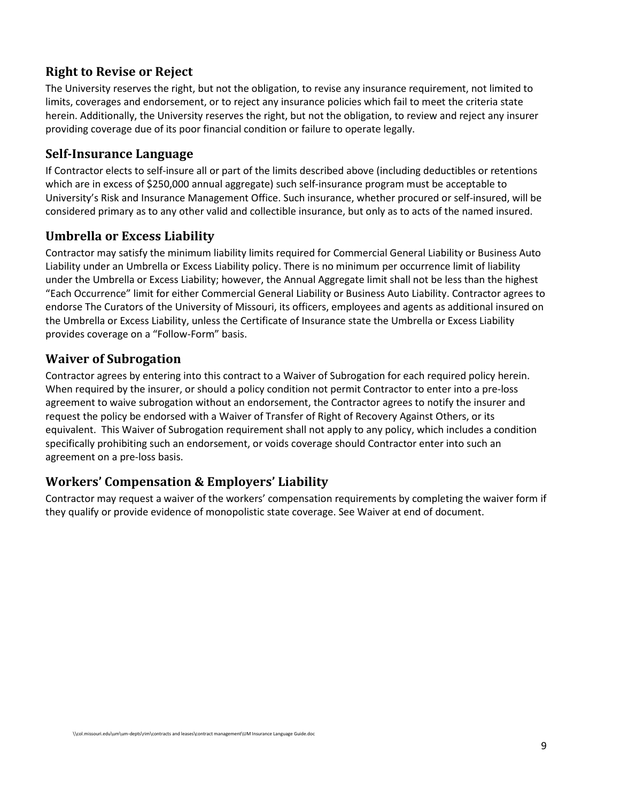## <span id="page-8-0"></span>**Right to Revise or Reject**

The University reserves the right, but not the obligation, to revise any insurance requirement, not limited to limits, coverages and endorsement, or to reject any insurance policies which fail to meet the criteria state herein. Additionally, the University reserves the right, but not the obligation, to review and reject any insurer providing coverage due of its poor financial condition or failure to operate legally.

## <span id="page-8-1"></span>**Self-Insurance Language**

If Contractor elects to self-insure all or part of the limits described above (including deductibles or retentions which are in excess of \$250,000 annual aggregate) such self-insurance program must be acceptable to University's Risk and Insurance Management Office. Such insurance, whether procured or self-insured, will be considered primary as to any other valid and collectible insurance, but only as to acts of the named insured.

## <span id="page-8-2"></span>**Umbrella or Excess Liability**

Contractor may satisfy the minimum liability limits required for Commercial General Liability or Business Auto Liability under an Umbrella or Excess Liability policy. There is no minimum per occurrence limit of liability under the Umbrella or Excess Liability; however, the Annual Aggregate limit shall not be less than the highest "Each Occurrence" limit for either Commercial General Liability or Business Auto Liability. Contractor agrees to endorse The Curators of the University of Missouri, its officers, employees and agents as additional insured on the Umbrella or Excess Liability, unless the Certificate of Insurance state the Umbrella or Excess Liability provides coverage on a "Follow-Form" basis.

## <span id="page-8-3"></span>**Waiver of Subrogation**

Contractor agrees by entering into this contract to a Waiver of Subrogation for each required policy herein. When required by the insurer, or should a policy condition not permit Contractor to enter into a pre-loss agreement to waive subrogation without an endorsement, the Contractor agrees to notify the insurer and request the policy be endorsed with a Waiver of Transfer of Right of Recovery Against Others, or its equivalent. This Waiver of Subrogation requirement shall not apply to any policy, which includes a condition specifically prohibiting such an endorsement, or voids coverage should Contractor enter into such an agreement on a pre-loss basis.

## <span id="page-8-4"></span>**Workers' Compensation & Employers' Liability**

Contractor may request a waiver of the workers' compensation requirements by completing the waiver form if they qualify or provide evidence of monopolistic state coverage. See Waiver at end of document.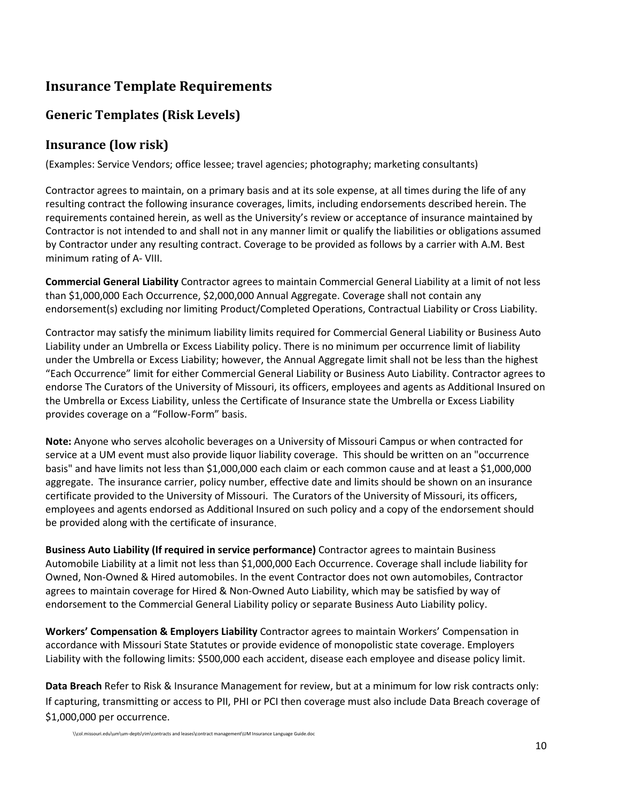## <span id="page-9-0"></span>**Insurance Template Requirements**

## <span id="page-9-1"></span>**Generic Templates (Risk Levels)**

#### <span id="page-9-2"></span>**Insurance (low risk)**

(Examples: Service Vendors; office lessee; travel agencies; photography; marketing consultants)

Contractor agrees to maintain, on a primary basis and at its sole expense, at all times during the life of any resulting contract the following insurance coverages, limits, including endorsements described herein. The requirements contained herein, as well as the University's review or acceptance of insurance maintained by Contractor is not intended to and shall not in any manner limit or qualify the liabilities or obligations assumed by Contractor under any resulting contract. Coverage to be provided as follows by a carrier with A.M. Best minimum rating of A- VIII.

**Commercial General Liability** Contractor agrees to maintain Commercial General Liability at a limit of not less than \$1,000,000 Each Occurrence, \$2,000,000 Annual Aggregate. Coverage shall not contain any endorsement(s) excluding nor limiting Product/Completed Operations, Contractual Liability or Cross Liability.

Contractor may satisfy the minimum liability limits required for Commercial General Liability or Business Auto Liability under an Umbrella or Excess Liability policy. There is no minimum per occurrence limit of liability under the Umbrella or Excess Liability; however, the Annual Aggregate limit shall not be less than the highest "Each Occurrence" limit for either Commercial General Liability or Business Auto Liability. Contractor agrees to endorse The Curators of the University of Missouri, its officers, employees and agents as Additional Insured on the Umbrella or Excess Liability, unless the Certificate of Insurance state the Umbrella or Excess Liability provides coverage on a "Follow-Form" basis.

**Note:** Anyone who serves alcoholic beverages on a University of Missouri Campus or when contracted for service at a UM event must also provide liquor liability coverage. This should be written on an "occurrence basis" and have limits not less than \$1,000,000 each claim or each common cause and at least a \$1,000,000 aggregate. The insurance carrier, policy number, effective date and limits should be shown on an insurance certificate provided to the University of Missouri. The Curators of the University of Missouri, its officers, employees and agents endorsed as Additional Insured on such policy and a copy of the endorsement should be provided along with the certificate of insurance.

**Business Auto Liability (If required in service performance)** Contractor agrees to maintain Business Automobile Liability at a limit not less than \$1,000,000 Each Occurrence. Coverage shall include liability for Owned, Non-Owned & Hired automobiles. In the event Contractor does not own automobiles, Contractor agrees to maintain coverage for Hired & Non-Owned Auto Liability, which may be satisfied by way of endorsement to the Commercial General Liability policy or separate Business Auto Liability policy.

**Workers' Compensation & Employers Liability** Contractor agrees to maintain Workers' Compensation in accordance with Missouri State Statutes or provide evidence of monopolistic state coverage. Employers Liability with the following limits: \$500,000 each accident, disease each employee and disease policy limit.

**Data Breach** Refer to Risk & Insurance Management for review, but at a minimum for low risk contracts only: If capturing, transmitting or access to PII, PHI or PCI then coverage must also include Data Breach coverage of \$1,000,000 per occurrence.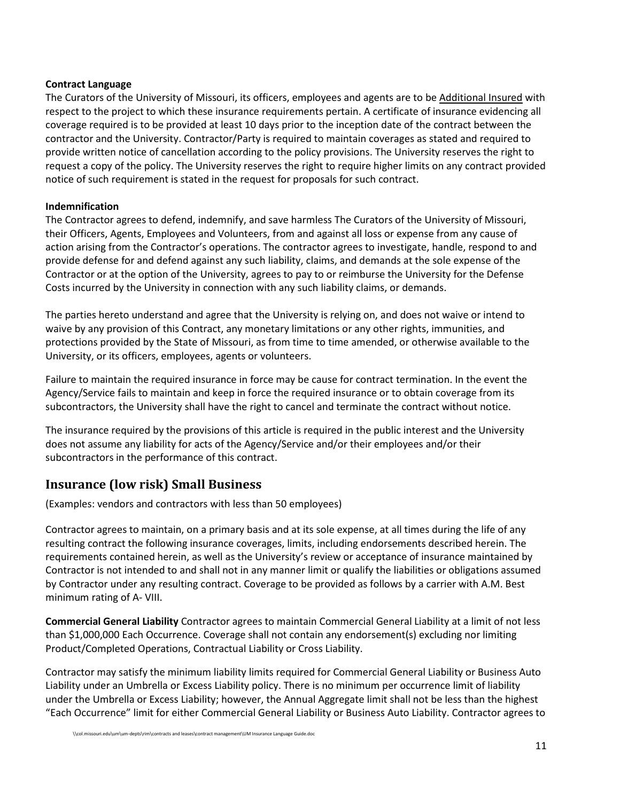#### **Contract Language**

The Curators of the University of Missouri, its officers, employees and agents are to be Additional Insured with respect to the project to which these insurance requirements pertain. A certificate of insurance evidencing all coverage required is to be provided at least 10 days prior to the inception date of the contract between the contractor and the University. Contractor/Party is required to maintain coverages as stated and required to provide written notice of cancellation according to the policy provisions. The University reserves the right to request a copy of the policy. The University reserves the right to require higher limits on any contract provided notice of such requirement is stated in the request for proposals for such contract.

#### **Indemnification**

The Contractor agrees to defend, indemnify, and save harmless The Curators of the University of Missouri, their Officers, Agents, Employees and Volunteers, from and against all loss or expense from any cause of action arising from the Contractor's operations. The contractor agrees to investigate, handle, respond to and provide defense for and defend against any such liability, claims, and demands at the sole expense of the Contractor or at the option of the University, agrees to pay to or reimburse the University for the Defense Costs incurred by the University in connection with any such liability claims, or demands.

The parties hereto understand and agree that the University is relying on, and does not waive or intend to waive by any provision of this Contract, any monetary limitations or any other rights, immunities, and protections provided by the State of Missouri, as from time to time amended, or otherwise available to the University, or its officers, employees, agents or volunteers.

Failure to maintain the required insurance in force may be cause for contract termination. In the event the Agency/Service fails to maintain and keep in force the required insurance or to obtain coverage from its subcontractors, the University shall have the right to cancel and terminate the contract without notice.

The insurance required by the provisions of this article is required in the public interest and the University does not assume any liability for acts of the Agency/Service and/or their employees and/or their subcontractors in the performance of this contract.

#### <span id="page-10-0"></span>**Insurance (low risk) Small Business**

(Examples: vendors and contractors with less than 50 employees)

Contractor agrees to maintain, on a primary basis and at its sole expense, at all times during the life of any resulting contract the following insurance coverages, limits, including endorsements described herein. The requirements contained herein, as well as the University's review or acceptance of insurance maintained by Contractor is not intended to and shall not in any manner limit or qualify the liabilities or obligations assumed by Contractor under any resulting contract. Coverage to be provided as follows by a carrier with A.M. Best minimum rating of A- VIII.

**Commercial General Liability** Contractor agrees to maintain Commercial General Liability at a limit of not less than \$1,000,000 Each Occurrence. Coverage shall not contain any endorsement(s) excluding nor limiting Product/Completed Operations, Contractual Liability or Cross Liability.

Contractor may satisfy the minimum liability limits required for Commercial General Liability or Business Auto Liability under an Umbrella or Excess Liability policy. There is no minimum per occurrence limit of liability under the Umbrella or Excess Liability; however, the Annual Aggregate limit shall not be less than the highest "Each Occurrence" limit for either Commercial General Liability or Business Auto Liability. Contractor agrees to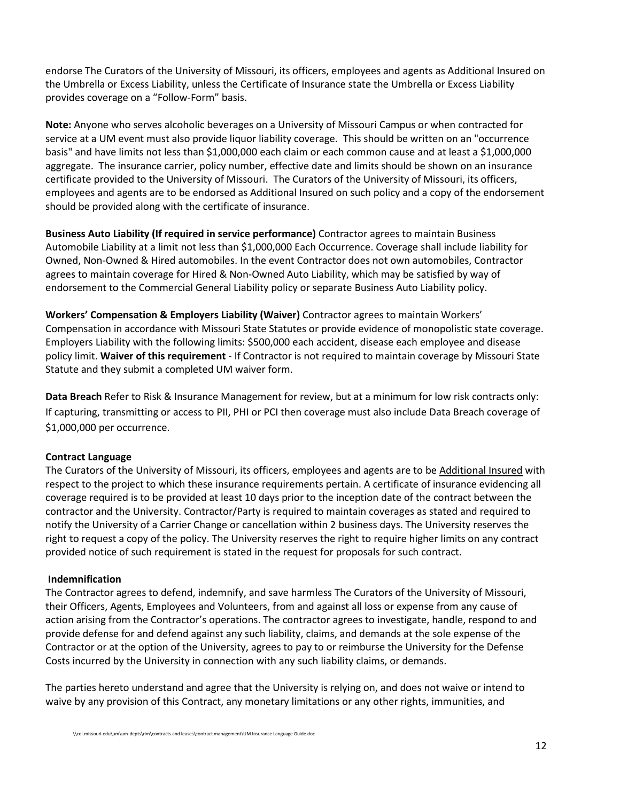endorse The Curators of the University of Missouri, its officers, employees and agents as Additional Insured on the Umbrella or Excess Liability, unless the Certificate of Insurance state the Umbrella or Excess Liability provides coverage on a "Follow-Form" basis.

**Note:** Anyone who serves alcoholic beverages on a University of Missouri Campus or when contracted for service at a UM event must also provide liquor liability coverage. This should be written on an "occurrence basis" and have limits not less than \$1,000,000 each claim or each common cause and at least a \$1,000,000 aggregate. The insurance carrier, policy number, effective date and limits should be shown on an insurance certificate provided to the University of Missouri. The Curators of the University of Missouri, its officers, employees and agents are to be endorsed as Additional Insured on such policy and a copy of the endorsement should be provided along with the certificate of insurance.

**Business Auto Liability (If required in service performance)** Contractor agrees to maintain Business Automobile Liability at a limit not less than \$1,000,000 Each Occurrence. Coverage shall include liability for Owned, Non-Owned & Hired automobiles. In the event Contractor does not own automobiles, Contractor agrees to maintain coverage for Hired & Non-Owned Auto Liability, which may be satisfied by way of endorsement to the Commercial General Liability policy or separate Business Auto Liability policy.

**Workers' Compensation & Employers Liability (Waiver)** Contractor agrees to maintain Workers' Compensation in accordance with Missouri State Statutes or provide evidence of monopolistic state coverage. Employers Liability with the following limits: \$500,000 each accident, disease each employee and disease policy limit. **Waiver of this requirement** - If Contractor is not required to maintain coverage by Missouri State Statute and they submit a completed UM waiver form.

**Data Breach** Refer to Risk & Insurance Management for review, but at a minimum for low risk contracts only: If capturing, transmitting or access to PII, PHI or PCI then coverage must also include Data Breach coverage of \$1,000,000 per occurrence.

#### **Contract Language**

The Curators of the University of Missouri, its officers, employees and agents are to be Additional Insured with respect to the project to which these insurance requirements pertain. A certificate of insurance evidencing all coverage required is to be provided at least 10 days prior to the inception date of the contract between the contractor and the University. Contractor/Party is required to maintain coverages as stated and required to notify the University of a Carrier Change or cancellation within 2 business days. The University reserves the right to request a copy of the policy. The University reserves the right to require higher limits on any contract provided notice of such requirement is stated in the request for proposals for such contract.

#### **Indemnification**

The Contractor agrees to defend, indemnify, and save harmless The Curators of the University of Missouri, their Officers, Agents, Employees and Volunteers, from and against all loss or expense from any cause of action arising from the Contractor's operations. The contractor agrees to investigate, handle, respond to and provide defense for and defend against any such liability, claims, and demands at the sole expense of the Contractor or at the option of the University, agrees to pay to or reimburse the University for the Defense Costs incurred by the University in connection with any such liability claims, or demands.

The parties hereto understand and agree that the University is relying on, and does not waive or intend to waive by any provision of this Contract, any monetary limitations or any other rights, immunities, and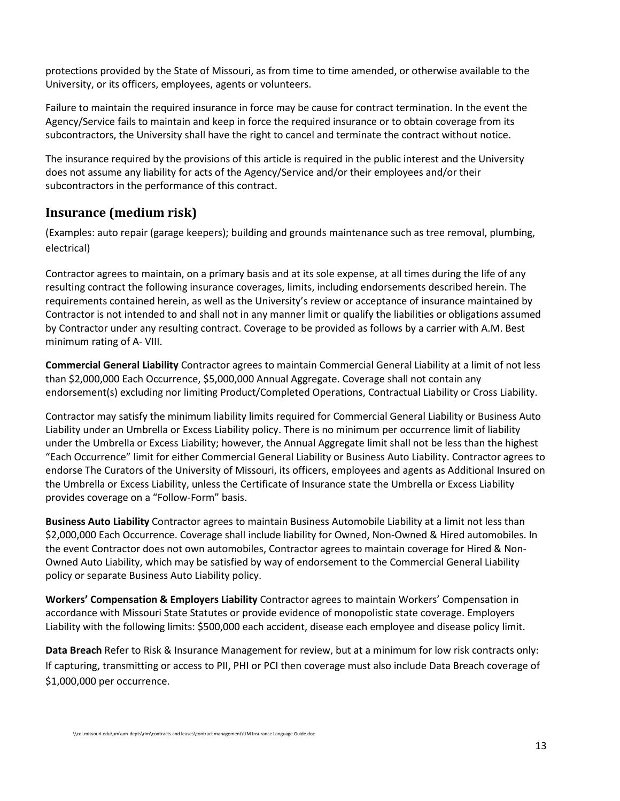protections provided by the State of Missouri, as from time to time amended, or otherwise available to the University, or its officers, employees, agents or volunteers.

Failure to maintain the required insurance in force may be cause for contract termination. In the event the Agency/Service fails to maintain and keep in force the required insurance or to obtain coverage from its subcontractors, the University shall have the right to cancel and terminate the contract without notice.

The insurance required by the provisions of this article is required in the public interest and the University does not assume any liability for acts of the Agency/Service and/or their employees and/or their subcontractors in the performance of this contract.

## <span id="page-12-0"></span>**Insurance (medium risk)**

(Examples: auto repair (garage keepers); building and grounds maintenance such as tree removal, plumbing, electrical)

Contractor agrees to maintain, on a primary basis and at its sole expense, at all times during the life of any resulting contract the following insurance coverages, limits, including endorsements described herein. The requirements contained herein, as well as the University's review or acceptance of insurance maintained by Contractor is not intended to and shall not in any manner limit or qualify the liabilities or obligations assumed by Contractor under any resulting contract. Coverage to be provided as follows by a carrier with A.M. Best minimum rating of A- VIII.

**Commercial General Liability** Contractor agrees to maintain Commercial General Liability at a limit of not less than \$2,000,000 Each Occurrence, \$5,000,000 Annual Aggregate. Coverage shall not contain any endorsement(s) excluding nor limiting Product/Completed Operations, Contractual Liability or Cross Liability.

Contractor may satisfy the minimum liability limits required for Commercial General Liability or Business Auto Liability under an Umbrella or Excess Liability policy. There is no minimum per occurrence limit of liability under the Umbrella or Excess Liability; however, the Annual Aggregate limit shall not be less than the highest "Each Occurrence" limit for either Commercial General Liability or Business Auto Liability. Contractor agrees to endorse The Curators of the University of Missouri, its officers, employees and agents as Additional Insured on the Umbrella or Excess Liability, unless the Certificate of Insurance state the Umbrella or Excess Liability provides coverage on a "Follow-Form" basis.

**Business Auto Liability** Contractor agrees to maintain Business Automobile Liability at a limit not less than \$2,000,000 Each Occurrence. Coverage shall include liability for Owned, Non-Owned & Hired automobiles. In the event Contractor does not own automobiles, Contractor agrees to maintain coverage for Hired & Non-Owned Auto Liability, which may be satisfied by way of endorsement to the Commercial General Liability policy or separate Business Auto Liability policy.

**Workers' Compensation & Employers Liability** Contractor agrees to maintain Workers' Compensation in accordance with Missouri State Statutes or provide evidence of monopolistic state coverage. Employers Liability with the following limits: \$500,000 each accident, disease each employee and disease policy limit.

**Data Breach** Refer to Risk & Insurance Management for review, but at a minimum for low risk contracts only: If capturing, transmitting or access to PII, PHI or PCI then coverage must also include Data Breach coverage of \$1,000,000 per occurrence.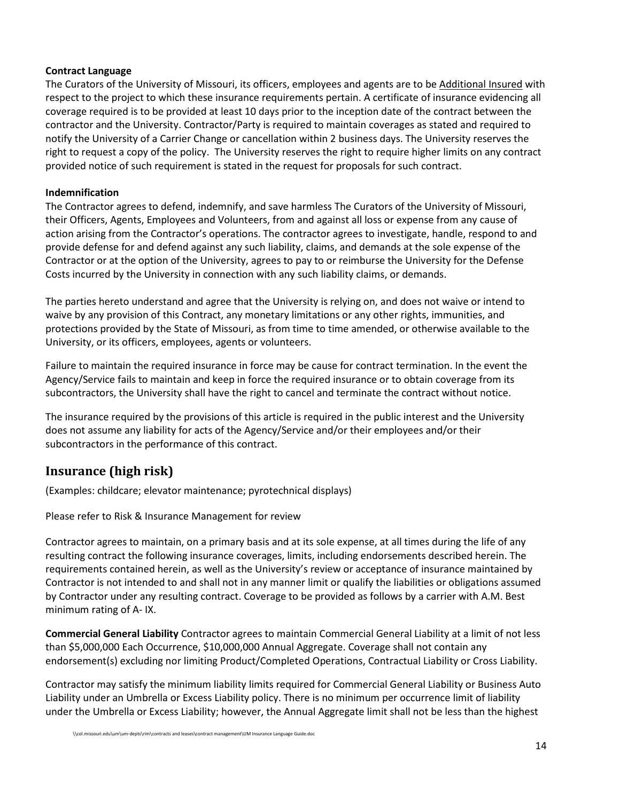#### **Contract Language**

The Curators of the University of Missouri, its officers, employees and agents are to be Additional Insured with respect to the project to which these insurance requirements pertain. A certificate of insurance evidencing all coverage required is to be provided at least 10 days prior to the inception date of the contract between the contractor and the University. Contractor/Party is required to maintain coverages as stated and required to notify the University of a Carrier Change or cancellation within 2 business days. The University reserves the right to request a copy of the policy. The University reserves the right to require higher limits on any contract provided notice of such requirement is stated in the request for proposals for such contract.

#### **Indemnification**

The Contractor agrees to defend, indemnify, and save harmless The Curators of the University of Missouri, their Officers, Agents, Employees and Volunteers, from and against all loss or expense from any cause of action arising from the Contractor's operations. The contractor agrees to investigate, handle, respond to and provide defense for and defend against any such liability, claims, and demands at the sole expense of the Contractor or at the option of the University, agrees to pay to or reimburse the University for the Defense Costs incurred by the University in connection with any such liability claims, or demands.

The parties hereto understand and agree that the University is relying on, and does not waive or intend to waive by any provision of this Contract, any monetary limitations or any other rights, immunities, and protections provided by the State of Missouri, as from time to time amended, or otherwise available to the University, or its officers, employees, agents or volunteers.

Failure to maintain the required insurance in force may be cause for contract termination. In the event the Agency/Service fails to maintain and keep in force the required insurance or to obtain coverage from its subcontractors, the University shall have the right to cancel and terminate the contract without notice.

The insurance required by the provisions of this article is required in the public interest and the University does not assume any liability for acts of the Agency/Service and/or their employees and/or their subcontractors in the performance of this contract.

## <span id="page-13-0"></span>**Insurance (high risk)**

(Examples: childcare; elevator maintenance; pyrotechnical displays)

Please refer to Risk & Insurance Management for review

Contractor agrees to maintain, on a primary basis and at its sole expense, at all times during the life of any resulting contract the following insurance coverages, limits, including endorsements described herein. The requirements contained herein, as well as the University's review or acceptance of insurance maintained by Contractor is not intended to and shall not in any manner limit or qualify the liabilities or obligations assumed by Contractor under any resulting contract. Coverage to be provided as follows by a carrier with A.M. Best minimum rating of A- IX.

**Commercial General Liability** Contractor agrees to maintain Commercial General Liability at a limit of not less than \$5,000,000 Each Occurrence, \$10,000,000 Annual Aggregate. Coverage shall not contain any endorsement(s) excluding nor limiting Product/Completed Operations, Contractual Liability or Cross Liability.

Contractor may satisfy the minimum liability limits required for Commercial General Liability or Business Auto Liability under an Umbrella or Excess Liability policy. There is no minimum per occurrence limit of liability under the Umbrella or Excess Liability; however, the Annual Aggregate limit shall not be less than the highest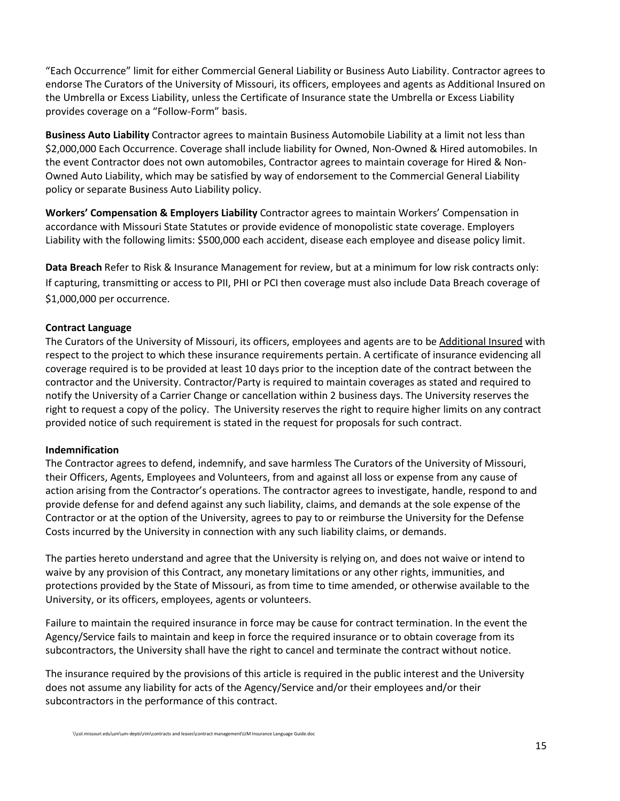"Each Occurrence" limit for either Commercial General Liability or Business Auto Liability. Contractor agrees to endorse The Curators of the University of Missouri, its officers, employees and agents as Additional Insured on the Umbrella or Excess Liability, unless the Certificate of Insurance state the Umbrella or Excess Liability provides coverage on a "Follow-Form" basis.

**Business Auto Liability** Contractor agrees to maintain Business Automobile Liability at a limit not less than \$2,000,000 Each Occurrence. Coverage shall include liability for Owned, Non-Owned & Hired automobiles. In the event Contractor does not own automobiles, Contractor agrees to maintain coverage for Hired & Non-Owned Auto Liability, which may be satisfied by way of endorsement to the Commercial General Liability policy or separate Business Auto Liability policy.

**Workers' Compensation & Employers Liability** Contractor agrees to maintain Workers' Compensation in accordance with Missouri State Statutes or provide evidence of monopolistic state coverage. Employers Liability with the following limits: \$500,000 each accident, disease each employee and disease policy limit.

**Data Breach** Refer to Risk & Insurance Management for review, but at a minimum for low risk contracts only: If capturing, transmitting or access to PII, PHI or PCI then coverage must also include Data Breach coverage of \$1,000,000 per occurrence.

#### **Contract Language**

The Curators of the University of Missouri, its officers, employees and agents are to be Additional Insured with respect to the project to which these insurance requirements pertain. A certificate of insurance evidencing all coverage required is to be provided at least 10 days prior to the inception date of the contract between the contractor and the University. Contractor/Party is required to maintain coverages as stated and required to notify the University of a Carrier Change or cancellation within 2 business days. The University reserves the right to request a copy of the policy. The University reserves the right to require higher limits on any contract provided notice of such requirement is stated in the request for proposals for such contract.

#### **Indemnification**

The Contractor agrees to defend, indemnify, and save harmless The Curators of the University of Missouri, their Officers, Agents, Employees and Volunteers, from and against all loss or expense from any cause of action arising from the Contractor's operations. The contractor agrees to investigate, handle, respond to and provide defense for and defend against any such liability, claims, and demands at the sole expense of the Contractor or at the option of the University, agrees to pay to or reimburse the University for the Defense Costs incurred by the University in connection with any such liability claims, or demands.

The parties hereto understand and agree that the University is relying on, and does not waive or intend to waive by any provision of this Contract, any monetary limitations or any other rights, immunities, and protections provided by the State of Missouri, as from time to time amended, or otherwise available to the University, or its officers, employees, agents or volunteers.

Failure to maintain the required insurance in force may be cause for contract termination. In the event the Agency/Service fails to maintain and keep in force the required insurance or to obtain coverage from its subcontractors, the University shall have the right to cancel and terminate the contract without notice.

The insurance required by the provisions of this article is required in the public interest and the University does not assume any liability for acts of the Agency/Service and/or their employees and/or their subcontractors in the performance of this contract.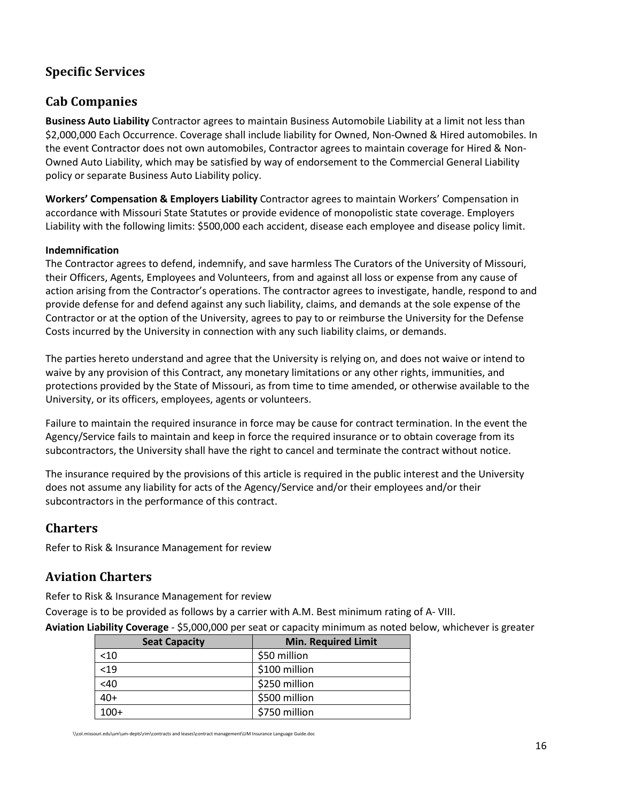## <span id="page-15-0"></span>**Specific Services**

## <span id="page-15-1"></span>**Cab Companies**

**Business Auto Liability** Contractor agrees to maintain Business Automobile Liability at a limit not less than \$2,000,000 Each Occurrence. Coverage shall include liability for Owned, Non-Owned & Hired automobiles. In the event Contractor does not own automobiles, Contractor agrees to maintain coverage for Hired & Non-Owned Auto Liability, which may be satisfied by way of endorsement to the Commercial General Liability policy or separate Business Auto Liability policy.

**Workers' Compensation & Employers Liability** Contractor agrees to maintain Workers' Compensation in accordance with Missouri State Statutes or provide evidence of monopolistic state coverage. Employers Liability with the following limits: \$500,000 each accident, disease each employee and disease policy limit.

#### **Indemnification**

The Contractor agrees to defend, indemnify, and save harmless The Curators of the University of Missouri, their Officers, Agents, Employees and Volunteers, from and against all loss or expense from any cause of action arising from the Contractor's operations. The contractor agrees to investigate, handle, respond to and provide defense for and defend against any such liability, claims, and demands at the sole expense of the Contractor or at the option of the University, agrees to pay to or reimburse the University for the Defense Costs incurred by the University in connection with any such liability claims, or demands.

The parties hereto understand and agree that the University is relying on, and does not waive or intend to waive by any provision of this Contract, any monetary limitations or any other rights, immunities, and protections provided by the State of Missouri, as from time to time amended, or otherwise available to the University, or its officers, employees, agents or volunteers.

Failure to maintain the required insurance in force may be cause for contract termination. In the event the Agency/Service fails to maintain and keep in force the required insurance or to obtain coverage from its subcontractors, the University shall have the right to cancel and terminate the contract without notice.

The insurance required by the provisions of this article is required in the public interest and the University does not assume any liability for acts of the Agency/Service and/or their employees and/or their subcontractors in the performance of this contract.

## <span id="page-15-2"></span>**Charters**

Refer to Risk & Insurance Management for review

## <span id="page-15-3"></span>**Aviation Charters**

Refer to Risk & Insurance Management for review

Coverage is to be provided as follows by a carrier with A.M. Best minimum rating of A- VIII.

**Aviation Liability Coverage** - \$5,000,000 per seat or capacity minimum as noted below, whichever is greater

| <b>Seat Capacity</b> | <b>Min. Required Limit</b> |
|----------------------|----------------------------|
| $<$ 10               | \$50 million               |
| < 19                 | \$100 million              |
| <40                  | \$250 million              |
| $40+$                | \$500 million              |
| $100+$               | \$750 million              |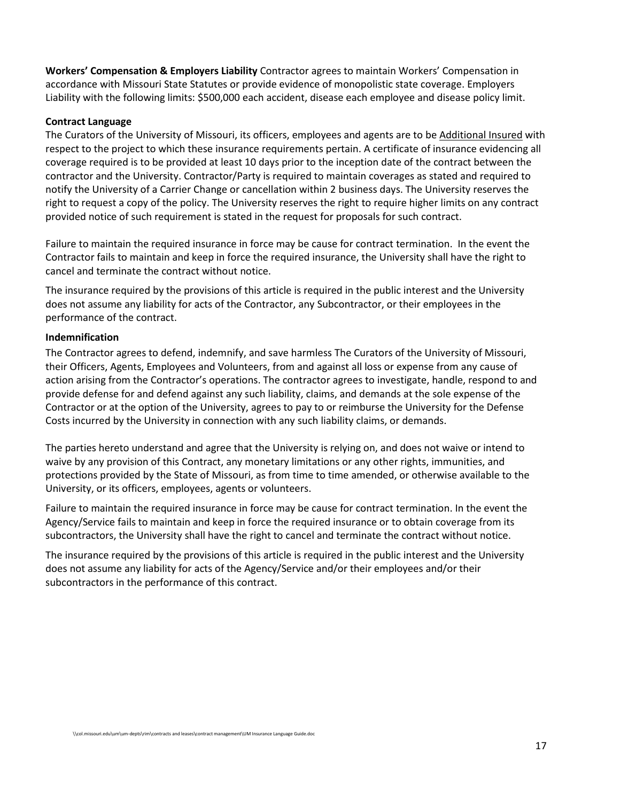**Workers' Compensation & Employers Liability** Contractor agrees to maintain Workers' Compensation in accordance with Missouri State Statutes or provide evidence of monopolistic state coverage. Employers Liability with the following limits: \$500,000 each accident, disease each employee and disease policy limit.

#### **Contract Language**

The Curators of the University of Missouri, its officers, employees and agents are to be Additional Insured with respect to the project to which these insurance requirements pertain. A certificate of insurance evidencing all coverage required is to be provided at least 10 days prior to the inception date of the contract between the contractor and the University. Contractor/Party is required to maintain coverages as stated and required to notify the University of a Carrier Change or cancellation within 2 business days. The University reserves the right to request a copy of the policy. The University reserves the right to require higher limits on any contract provided notice of such requirement is stated in the request for proposals for such contract.

Failure to maintain the required insurance in force may be cause for contract termination. In the event the Contractor fails to maintain and keep in force the required insurance, the University shall have the right to cancel and terminate the contract without notice.

The insurance required by the provisions of this article is required in the public interest and the University does not assume any liability for acts of the Contractor, any Subcontractor, or their employees in the performance of the contract.

#### **Indemnification**

The Contractor agrees to defend, indemnify, and save harmless The Curators of the University of Missouri, their Officers, Agents, Employees and Volunteers, from and against all loss or expense from any cause of action arising from the Contractor's operations. The contractor agrees to investigate, handle, respond to and provide defense for and defend against any such liability, claims, and demands at the sole expense of the Contractor or at the option of the University, agrees to pay to or reimburse the University for the Defense Costs incurred by the University in connection with any such liability claims, or demands.

The parties hereto understand and agree that the University is relying on, and does not waive or intend to waive by any provision of this Contract, any monetary limitations or any other rights, immunities, and protections provided by the State of Missouri, as from time to time amended, or otherwise available to the University, or its officers, employees, agents or volunteers.

Failure to maintain the required insurance in force may be cause for contract termination. In the event the Agency/Service fails to maintain and keep in force the required insurance or to obtain coverage from its subcontractors, the University shall have the right to cancel and terminate the contract without notice.

The insurance required by the provisions of this article is required in the public interest and the University does not assume any liability for acts of the Agency/Service and/or their employees and/or their subcontractors in the performance of this contract.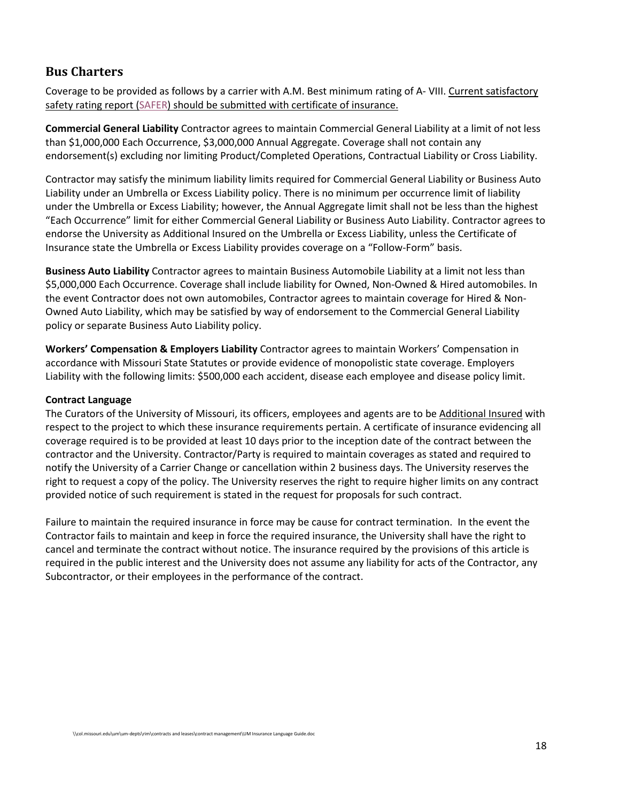#### <span id="page-17-0"></span>**Bus Charters**

Coverage to be provided as follows by a carrier with A.M. Best minimum rating of A- VIII. Current satisfactory safety rating report [\(SAFER\)](https://safer.fmcsa.dot.gov/CompanySnapshot.aspx) should be submitted with certificate of insurance.

**Commercial General Liability** Contractor agrees to maintain Commercial General Liability at a limit of not less than \$1,000,000 Each Occurrence, \$3,000,000 Annual Aggregate. Coverage shall not contain any endorsement(s) excluding nor limiting Product/Completed Operations, Contractual Liability or Cross Liability.

Contractor may satisfy the minimum liability limits required for Commercial General Liability or Business Auto Liability under an Umbrella or Excess Liability policy. There is no minimum per occurrence limit of liability under the Umbrella or Excess Liability; however, the Annual Aggregate limit shall not be less than the highest "Each Occurrence" limit for either Commercial General Liability or Business Auto Liability. Contractor agrees to endorse the University as Additional Insured on the Umbrella or Excess Liability, unless the Certificate of Insurance state the Umbrella or Excess Liability provides coverage on a "Follow-Form" basis.

**Business Auto Liability** Contractor agrees to maintain Business Automobile Liability at a limit not less than \$5,000,000 Each Occurrence. Coverage shall include liability for Owned, Non-Owned & Hired automobiles. In the event Contractor does not own automobiles, Contractor agrees to maintain coverage for Hired & Non-Owned Auto Liability, which may be satisfied by way of endorsement to the Commercial General Liability policy or separate Business Auto Liability policy.

**Workers' Compensation & Employers Liability** Contractor agrees to maintain Workers' Compensation in accordance with Missouri State Statutes or provide evidence of monopolistic state coverage. Employers Liability with the following limits: \$500,000 each accident, disease each employee and disease policy limit.

#### **Contract Language**

The Curators of the University of Missouri, its officers, employees and agents are to be Additional Insured with respect to the project to which these insurance requirements pertain. A certificate of insurance evidencing all coverage required is to be provided at least 10 days prior to the inception date of the contract between the contractor and the University. Contractor/Party is required to maintain coverages as stated and required to notify the University of a Carrier Change or cancellation within 2 business days. The University reserves the right to request a copy of the policy. The University reserves the right to require higher limits on any contract provided notice of such requirement is stated in the request for proposals for such contract.

Failure to maintain the required insurance in force may be cause for contract termination. In the event the Contractor fails to maintain and keep in force the required insurance, the University shall have the right to cancel and terminate the contract without notice. The insurance required by the provisions of this article is required in the public interest and the University does not assume any liability for acts of the Contractor, any Subcontractor, or their employees in the performance of the contract.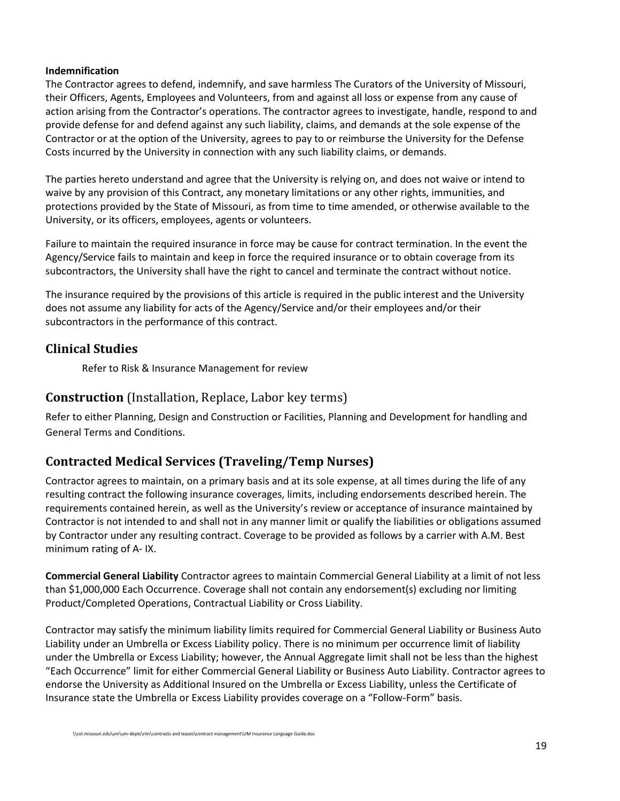#### **Indemnification**

The Contractor agrees to defend, indemnify, and save harmless The Curators of the University of Missouri, their Officers, Agents, Employees and Volunteers, from and against all loss or expense from any cause of action arising from the Contractor's operations. The contractor agrees to investigate, handle, respond to and provide defense for and defend against any such liability, claims, and demands at the sole expense of the Contractor or at the option of the University, agrees to pay to or reimburse the University for the Defense Costs incurred by the University in connection with any such liability claims, or demands.

The parties hereto understand and agree that the University is relying on, and does not waive or intend to waive by any provision of this Contract, any monetary limitations or any other rights, immunities, and protections provided by the State of Missouri, as from time to time amended, or otherwise available to the University, or its officers, employees, agents or volunteers.

Failure to maintain the required insurance in force may be cause for contract termination. In the event the Agency/Service fails to maintain and keep in force the required insurance or to obtain coverage from its subcontractors, the University shall have the right to cancel and terminate the contract without notice.

The insurance required by the provisions of this article is required in the public interest and the University does not assume any liability for acts of the Agency/Service and/or their employees and/or their subcontractors in the performance of this contract.

#### <span id="page-18-0"></span>**Clinical Studies**

Refer to Risk & Insurance Management for review

#### <span id="page-18-1"></span>**Construction** (Installation, Replace, Labor key terms)

Refer to either Planning, Design and Construction or Facilities, Planning and Development for handling and General Terms and Conditions.

## <span id="page-18-2"></span>**Contracted Medical Services (Traveling/Temp Nurses)**

Contractor agrees to maintain, on a primary basis and at its sole expense, at all times during the life of any resulting contract the following insurance coverages, limits, including endorsements described herein. The requirements contained herein, as well as the University's review or acceptance of insurance maintained by Contractor is not intended to and shall not in any manner limit or qualify the liabilities or obligations assumed by Contractor under any resulting contract. Coverage to be provided as follows by a carrier with A.M. Best minimum rating of A- IX.

**Commercial General Liability** Contractor agrees to maintain Commercial General Liability at a limit of not less than \$1,000,000 Each Occurrence. Coverage shall not contain any endorsement(s) excluding nor limiting Product/Completed Operations, Contractual Liability or Cross Liability.

Contractor may satisfy the minimum liability limits required for Commercial General Liability or Business Auto Liability under an Umbrella or Excess Liability policy. There is no minimum per occurrence limit of liability under the Umbrella or Excess Liability; however, the Annual Aggregate limit shall not be less than the highest "Each Occurrence" limit for either Commercial General Liability or Business Auto Liability. Contractor agrees to endorse the University as Additional Insured on the Umbrella or Excess Liability, unless the Certificate of Insurance state the Umbrella or Excess Liability provides coverage on a "Follow-Form" basis.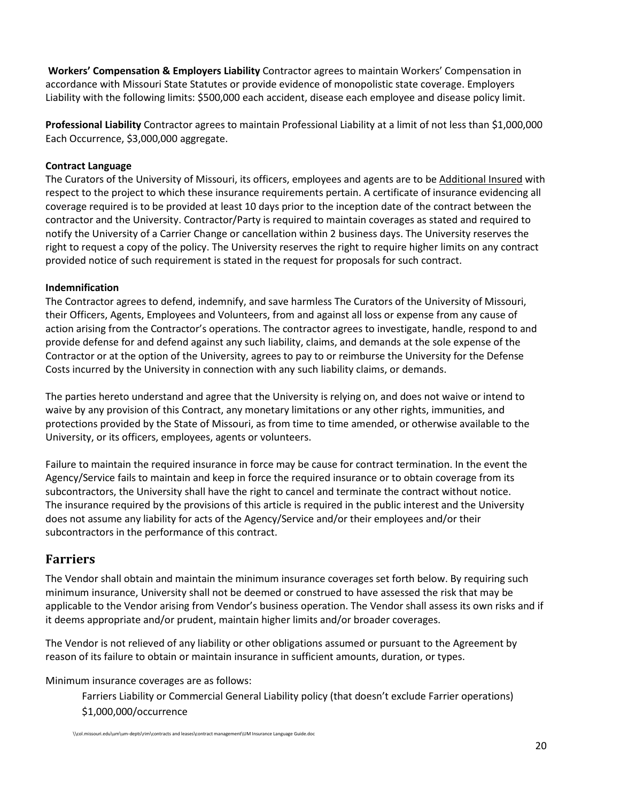**Workers' Compensation & Employers Liability** Contractor agrees to maintain Workers' Compensation in accordance with Missouri State Statutes or provide evidence of monopolistic state coverage. Employers Liability with the following limits: \$500,000 each accident, disease each employee and disease policy limit.

**Professional Liability** Contractor agrees to maintain Professional Liability at a limit of not less than \$1,000,000 Each Occurrence, \$3,000,000 aggregate.

#### **Contract Language**

The Curators of the University of Missouri, its officers, employees and agents are to be Additional Insured with respect to the project to which these insurance requirements pertain. A certificate of insurance evidencing all coverage required is to be provided at least 10 days prior to the inception date of the contract between the contractor and the University. Contractor/Party is required to maintain coverages as stated and required to notify the University of a Carrier Change or cancellation within 2 business days. The University reserves the right to request a copy of the policy. The University reserves the right to require higher limits on any contract provided notice of such requirement is stated in the request for proposals for such contract.

#### **Indemnification**

The Contractor agrees to defend, indemnify, and save harmless The Curators of the University of Missouri, their Officers, Agents, Employees and Volunteers, from and against all loss or expense from any cause of action arising from the Contractor's operations. The contractor agrees to investigate, handle, respond to and provide defense for and defend against any such liability, claims, and demands at the sole expense of the Contractor or at the option of the University, agrees to pay to or reimburse the University for the Defense Costs incurred by the University in connection with any such liability claims, or demands.

The parties hereto understand and agree that the University is relying on, and does not waive or intend to waive by any provision of this Contract, any monetary limitations or any other rights, immunities, and protections provided by the State of Missouri, as from time to time amended, or otherwise available to the University, or its officers, employees, agents or volunteers.

Failure to maintain the required insurance in force may be cause for contract termination. In the event the Agency/Service fails to maintain and keep in force the required insurance or to obtain coverage from its subcontractors, the University shall have the right to cancel and terminate the contract without notice. The insurance required by the provisions of this article is required in the public interest and the University does not assume any liability for acts of the Agency/Service and/or their employees and/or their subcontractors in the performance of this contract.

#### <span id="page-19-0"></span>**Farriers**

The Vendor shall obtain and maintain the minimum insurance coverages set forth below. By requiring such minimum insurance, University shall not be deemed or construed to have assessed the risk that may be applicable to the Vendor arising from Vendor's business operation. The Vendor shall assess its own risks and if it deems appropriate and/or prudent, maintain higher limits and/or broader coverages.

The Vendor is not relieved of any liability or other obligations assumed or pursuant to the Agreement by reason of its failure to obtain or maintain insurance in sufficient amounts, duration, or types.

Minimum insurance coverages are as follows:

Farriers Liability or Commercial General Liability policy (that doesn't exclude Farrier operations) \$1,000,000/occurrence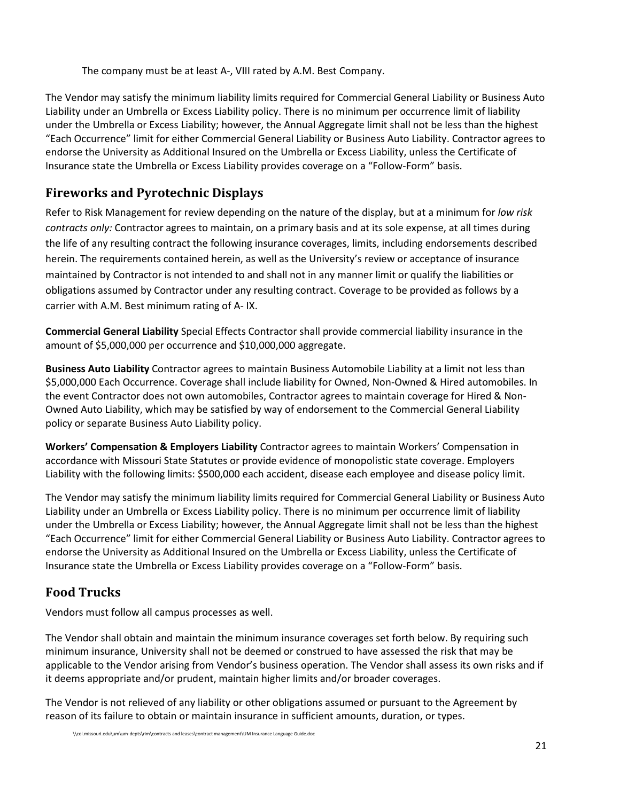The company must be at least A-, VIII rated by A.M. Best Company.

The Vendor may satisfy the minimum liability limits required for Commercial General Liability or Business Auto Liability under an Umbrella or Excess Liability policy. There is no minimum per occurrence limit of liability under the Umbrella or Excess Liability; however, the Annual Aggregate limit shall not be less than the highest "Each Occurrence" limit for either Commercial General Liability or Business Auto Liability. Contractor agrees to endorse the University as Additional Insured on the Umbrella or Excess Liability, unless the Certificate of Insurance state the Umbrella or Excess Liability provides coverage on a "Follow-Form" basis.

## <span id="page-20-0"></span>**Fireworks and Pyrotechnic Displays**

Refer to Risk Management for review depending on the nature of the display, but at a minimum for *low risk contracts only:* Contractor agrees to maintain, on a primary basis and at its sole expense, at all times during the life of any resulting contract the following insurance coverages, limits, including endorsements described herein. The requirements contained herein, as well as the University's review or acceptance of insurance maintained by Contractor is not intended to and shall not in any manner limit or qualify the liabilities or obligations assumed by Contractor under any resulting contract. Coverage to be provided as follows by a carrier with A.M. Best minimum rating of A- IX.

**Commercial General Liability** Special Effects Contractor shall provide commercial liability insurance in the amount of \$5,000,000 per occurrence and \$10,000,000 aggregate.

**Business Auto Liability** Contractor agrees to maintain Business Automobile Liability at a limit not less than \$5,000,000 Each Occurrence. Coverage shall include liability for Owned, Non-Owned & Hired automobiles. In the event Contractor does not own automobiles, Contractor agrees to maintain coverage for Hired & Non-Owned Auto Liability, which may be satisfied by way of endorsement to the Commercial General Liability policy or separate Business Auto Liability policy.

**Workers' Compensation & Employers Liability** Contractor agrees to maintain Workers' Compensation in accordance with Missouri State Statutes or provide evidence of monopolistic state coverage. Employers Liability with the following limits: \$500,000 each accident, disease each employee and disease policy limit.

The Vendor may satisfy the minimum liability limits required for Commercial General Liability or Business Auto Liability under an Umbrella or Excess Liability policy. There is no minimum per occurrence limit of liability under the Umbrella or Excess Liability; however, the Annual Aggregate limit shall not be less than the highest "Each Occurrence" limit for either Commercial General Liability or Business Auto Liability. Contractor agrees to endorse the University as Additional Insured on the Umbrella or Excess Liability, unless the Certificate of Insurance state the Umbrella or Excess Liability provides coverage on a "Follow-Form" basis.

## <span id="page-20-1"></span>**Food Trucks**

Vendors must follow all campus processes as well.

The Vendor shall obtain and maintain the minimum insurance coverages set forth below. By requiring such minimum insurance, University shall not be deemed or construed to have assessed the risk that may be applicable to the Vendor arising from Vendor's business operation. The Vendor shall assess its own risks and if it deems appropriate and/or prudent, maintain higher limits and/or broader coverages.

The Vendor is not relieved of any liability or other obligations assumed or pursuant to the Agreement by reason of its failure to obtain or maintain insurance in sufficient amounts, duration, or types.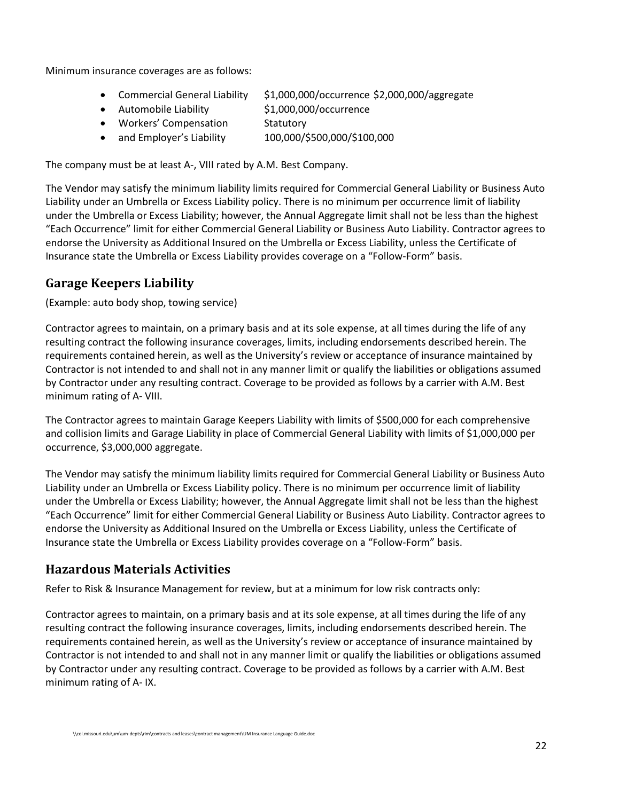Minimum insurance coverages are as follows:

- Commercial General Liability \$1,000,000/occurrence \$2,000,000/aggregate
- Automobile Liability \$1,000,000/occurrence
	-
- Workers' Compensation Statutory
- and Employer's Liability 100,000/\$500,000/\$100,000

The company must be at least A-, VIII rated by A.M. Best Company.

The Vendor may satisfy the minimum liability limits required for Commercial General Liability or Business Auto Liability under an Umbrella or Excess Liability policy. There is no minimum per occurrence limit of liability under the Umbrella or Excess Liability; however, the Annual Aggregate limit shall not be less than the highest "Each Occurrence" limit for either Commercial General Liability or Business Auto Liability. Contractor agrees to endorse the University as Additional Insured on the Umbrella or Excess Liability, unless the Certificate of Insurance state the Umbrella or Excess Liability provides coverage on a "Follow-Form" basis.

## <span id="page-21-0"></span>**Garage Keepers Liability**

(Example: auto body shop, towing service)

Contractor agrees to maintain, on a primary basis and at its sole expense, at all times during the life of any resulting contract the following insurance coverages, limits, including endorsements described herein. The requirements contained herein, as well as the University's review or acceptance of insurance maintained by Contractor is not intended to and shall not in any manner limit or qualify the liabilities or obligations assumed by Contractor under any resulting contract. Coverage to be provided as follows by a carrier with A.M. Best minimum rating of A- VIII.

The Contractor agrees to maintain Garage Keepers Liability with limits of \$500,000 for each comprehensive and collision limits and Garage Liability in place of Commercial General Liability with limits of \$1,000,000 per occurrence, \$3,000,000 aggregate.

The Vendor may satisfy the minimum liability limits required for Commercial General Liability or Business Auto Liability under an Umbrella or Excess Liability policy. There is no minimum per occurrence limit of liability under the Umbrella or Excess Liability; however, the Annual Aggregate limit shall not be less than the highest "Each Occurrence" limit for either Commercial General Liability or Business Auto Liability. Contractor agrees to endorse the University as Additional Insured on the Umbrella or Excess Liability, unless the Certificate of Insurance state the Umbrella or Excess Liability provides coverage on a "Follow-Form" basis.

## <span id="page-21-1"></span>**Hazardous Materials Activities**

Refer to Risk & Insurance Management for review, but at a minimum for low risk contracts only:

Contractor agrees to maintain, on a primary basis and at its sole expense, at all times during the life of any resulting contract the following insurance coverages, limits, including endorsements described herein. The requirements contained herein, as well as the University's review or acceptance of insurance maintained by Contractor is not intended to and shall not in any manner limit or qualify the liabilities or obligations assumed by Contractor under any resulting contract. Coverage to be provided as follows by a carrier with A.M. Best minimum rating of A- IX.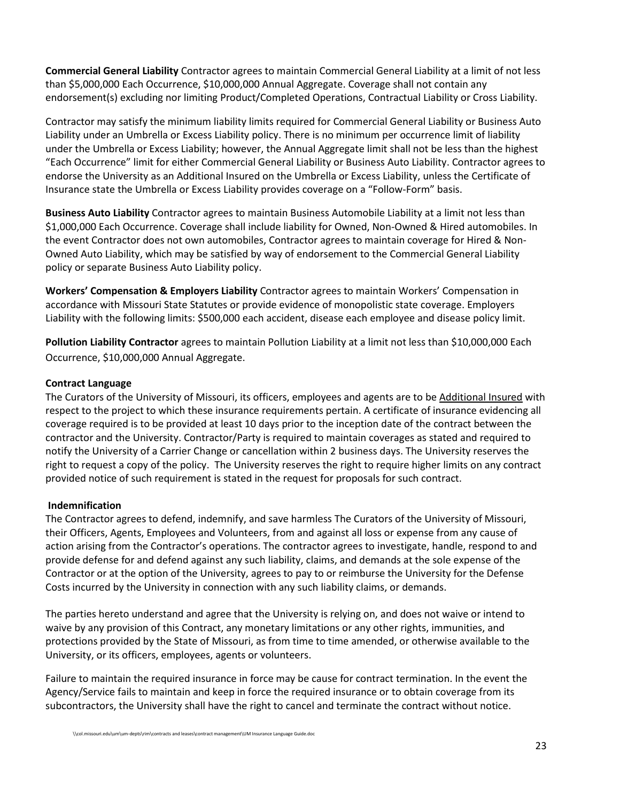**Commercial General Liability** Contractor agrees to maintain Commercial General Liability at a limit of not less than \$5,000,000 Each Occurrence, \$10,000,000 Annual Aggregate. Coverage shall not contain any endorsement(s) excluding nor limiting Product/Completed Operations, Contractual Liability or Cross Liability.

Contractor may satisfy the minimum liability limits required for Commercial General Liability or Business Auto Liability under an Umbrella or Excess Liability policy. There is no minimum per occurrence limit of liability under the Umbrella or Excess Liability; however, the Annual Aggregate limit shall not be less than the highest "Each Occurrence" limit for either Commercial General Liability or Business Auto Liability. Contractor agrees to endorse the University as an Additional Insured on the Umbrella or Excess Liability, unless the Certificate of Insurance state the Umbrella or Excess Liability provides coverage on a "Follow-Form" basis.

**Business Auto Liability** Contractor agrees to maintain Business Automobile Liability at a limit not less than \$1,000,000 Each Occurrence. Coverage shall include liability for Owned, Non-Owned & Hired automobiles. In the event Contractor does not own automobiles, Contractor agrees to maintain coverage for Hired & Non-Owned Auto Liability, which may be satisfied by way of endorsement to the Commercial General Liability policy or separate Business Auto Liability policy.

**Workers' Compensation & Employers Liability** Contractor agrees to maintain Workers' Compensation in accordance with Missouri State Statutes or provide evidence of monopolistic state coverage. Employers Liability with the following limits: \$500,000 each accident, disease each employee and disease policy limit.

**Pollution Liability Contractor** agrees to maintain Pollution Liability at a limit not less than \$10,000,000 Each Occurrence, \$10,000,000 Annual Aggregate.

#### **Contract Language**

The Curators of the University of Missouri, its officers, employees and agents are to be Additional Insured with respect to the project to which these insurance requirements pertain. A certificate of insurance evidencing all coverage required is to be provided at least 10 days prior to the inception date of the contract between the contractor and the University. Contractor/Party is required to maintain coverages as stated and required to notify the University of a Carrier Change or cancellation within 2 business days. The University reserves the right to request a copy of the policy. The University reserves the right to require higher limits on any contract provided notice of such requirement is stated in the request for proposals for such contract.

#### **Indemnification**

The Contractor agrees to defend, indemnify, and save harmless The Curators of the University of Missouri, their Officers, Agents, Employees and Volunteers, from and against all loss or expense from any cause of action arising from the Contractor's operations. The contractor agrees to investigate, handle, respond to and provide defense for and defend against any such liability, claims, and demands at the sole expense of the Contractor or at the option of the University, agrees to pay to or reimburse the University for the Defense Costs incurred by the University in connection with any such liability claims, or demands.

The parties hereto understand and agree that the University is relying on, and does not waive or intend to waive by any provision of this Contract, any monetary limitations or any other rights, immunities, and protections provided by the State of Missouri, as from time to time amended, or otherwise available to the University, or its officers, employees, agents or volunteers.

Failure to maintain the required insurance in force may be cause for contract termination. In the event the Agency/Service fails to maintain and keep in force the required insurance or to obtain coverage from its subcontractors, the University shall have the right to cancel and terminate the contract without notice.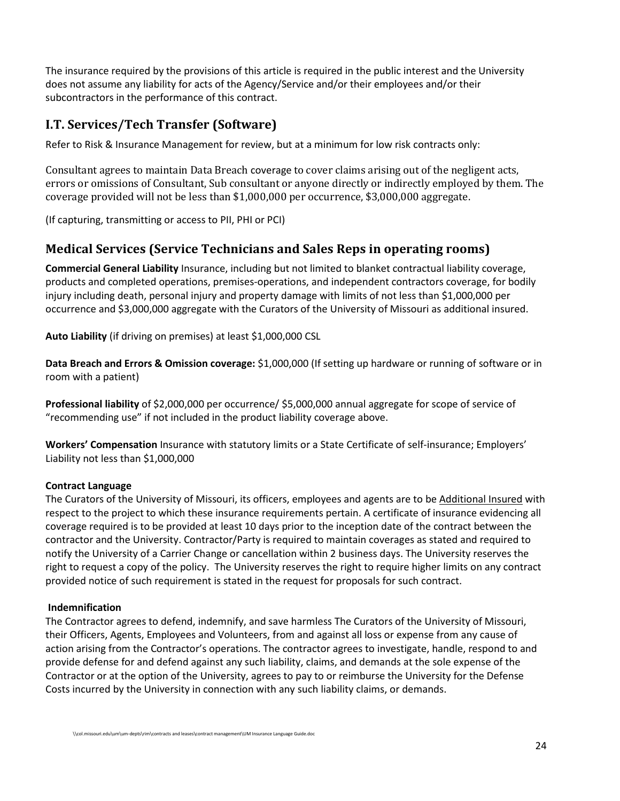The insurance required by the provisions of this article is required in the public interest and the University does not assume any liability for acts of the Agency/Service and/or their employees and/or their subcontractors in the performance of this contract.

## <span id="page-23-0"></span>**I.T. Services/Tech Transfer (Software)**

Refer to Risk & Insurance Management for review, but at a minimum for low risk contracts only:

Consultant agrees to maintain Data Breach coverage to cover claims arising out of the negligent acts, errors or omissions of Consultant, Sub consultant or anyone directly or indirectly employed by them. The coverage provided will not be less than \$1,000,000 per occurrence, \$3,000,000 aggregate.

(If capturing, transmitting or access to PII, PHI or PCI)

## <span id="page-23-1"></span>**Medical Services (Service Technicians and Sales Reps in operating rooms)**

**Commercial General Liability** Insurance, including but not limited to blanket contractual liability coverage, products and completed operations, premises-operations, and independent contractors coverage, for bodily injury including death, personal injury and property damage with limits of not less than \$1,000,000 per occurrence and \$3,000,000 aggregate with the Curators of the University of Missouri as additional insured.

**Auto Liability** (if driving on premises) at least \$1,000,000 CSL

**Data Breach and Errors & Omission coverage:** \$1,000,000 (If setting up hardware or running of software or in room with a patient)

**Professional liability** of \$2,000,000 per occurrence/ \$5,000,000 annual aggregate for scope of service of "recommending use" if not included in the product liability coverage above.

**Workers' Compensation** Insurance with statutory limits or a State Certificate of self-insurance; Employers' Liability not less than \$1,000,000

#### **Contract Language**

The Curators of the University of Missouri, its officers, employees and agents are to be Additional Insured with respect to the project to which these insurance requirements pertain. A certificate of insurance evidencing all coverage required is to be provided at least 10 days prior to the inception date of the contract between the contractor and the University. Contractor/Party is required to maintain coverages as stated and required to notify the University of a Carrier Change or cancellation within 2 business days. The University reserves the right to request a copy of the policy. The University reserves the right to require higher limits on any contract provided notice of such requirement is stated in the request for proposals for such contract.

#### **Indemnification**

The Contractor agrees to defend, indemnify, and save harmless The Curators of the University of Missouri, their Officers, Agents, Employees and Volunteers, from and against all loss or expense from any cause of action arising from the Contractor's operations. The contractor agrees to investigate, handle, respond to and provide defense for and defend against any such liability, claims, and demands at the sole expense of the Contractor or at the option of the University, agrees to pay to or reimburse the University for the Defense Costs incurred by the University in connection with any such liability claims, or demands.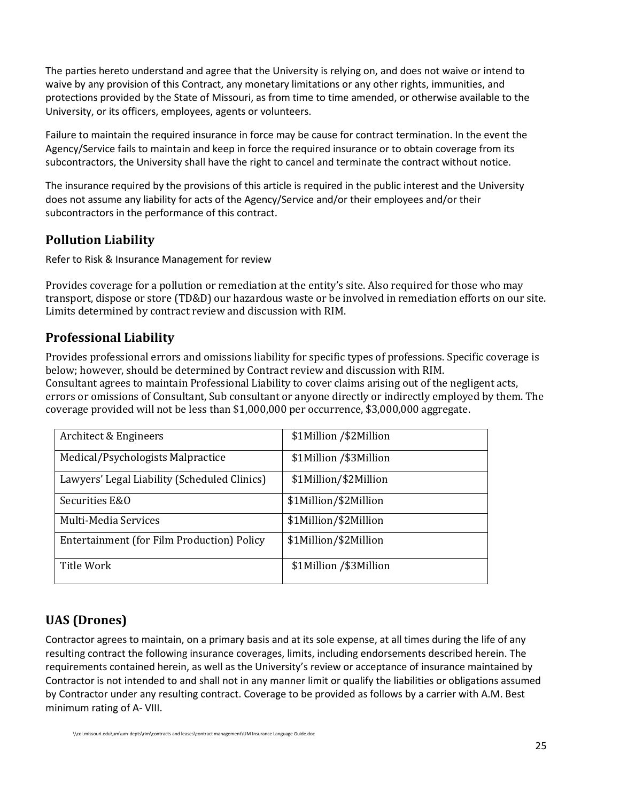The parties hereto understand and agree that the University is relying on, and does not waive or intend to waive by any provision of this Contract, any monetary limitations or any other rights, immunities, and protections provided by the State of Missouri, as from time to time amended, or otherwise available to the University, or its officers, employees, agents or volunteers.

Failure to maintain the required insurance in force may be cause for contract termination. In the event the Agency/Service fails to maintain and keep in force the required insurance or to obtain coverage from its subcontractors, the University shall have the right to cancel and terminate the contract without notice.

The insurance required by the provisions of this article is required in the public interest and the University does not assume any liability for acts of the Agency/Service and/or their employees and/or their subcontractors in the performance of this contract.

#### <span id="page-24-0"></span>**Pollution Liability**

Refer to Risk & Insurance Management for review

Provides coverage for a pollution or remediation at the entity's site. Also required for those who may transport, dispose or store (TD&D) our hazardous waste or be involved in remediation efforts on our site. Limits determined by contract review and discussion with RIM.

#### <span id="page-24-1"></span>**Professional Liability**

Provides professional errors and omissions liability for specific types of professions. Specific coverage is below; however, should be determined by Contract review and discussion with RIM. Consultant agrees to maintain Professional Liability to cover claims arising out of the negligent acts, errors or omissions of Consultant, Sub consultant or anyone directly or indirectly employed by them. The coverage provided will not be less than \$1,000,000 per occurrence, \$3,000,000 aggregate.

| Architect & Engineers                        | \$1Million /\$2Million |
|----------------------------------------------|------------------------|
| Medical/Psychologists Malpractice            | \$1Million /\$3Million |
| Lawyers' Legal Liability (Scheduled Clinics) | \$1Million/\$2Million  |
| Securities E&O                               | \$1Million/\$2Million  |
| Multi-Media Services                         | \$1Million/\$2Million  |
| Entertainment (for Film Production) Policy   | \$1Million/\$2Million  |
| Title Work                                   | \$1Million /\$3Million |

## <span id="page-24-2"></span>**UAS (Drones)**

Contractor agrees to maintain, on a primary basis and at its sole expense, at all times during the life of any resulting contract the following insurance coverages, limits, including endorsements described herein. The requirements contained herein, as well as the University's review or acceptance of insurance maintained by Contractor is not intended to and shall not in any manner limit or qualify the liabilities or obligations assumed by Contractor under any resulting contract. Coverage to be provided as follows by a carrier with A.M. Best minimum rating of A- VIII.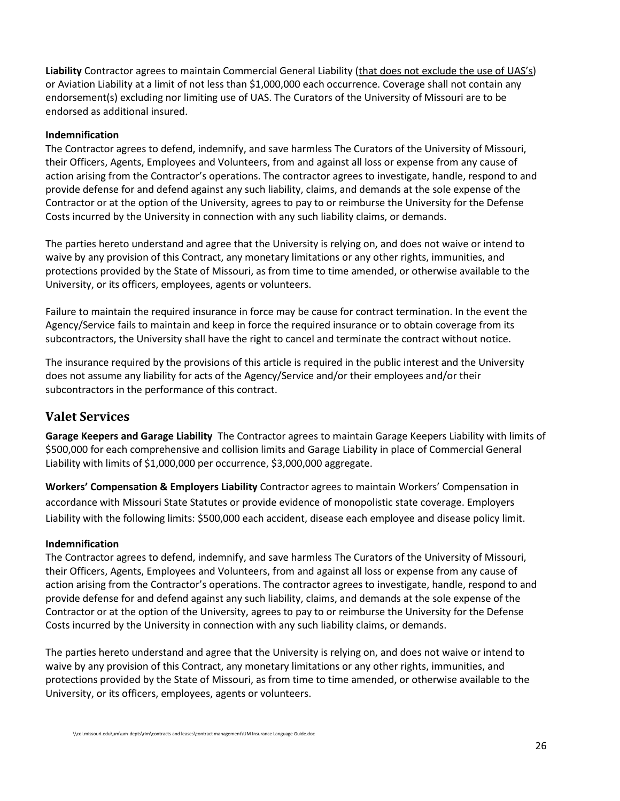**Liability** Contractor agrees to maintain Commercial General Liability (that does not exclude the use of UAS's) or Aviation Liability at a limit of not less than \$1,000,000 each occurrence. Coverage shall not contain any endorsement(s) excluding nor limiting use of UAS. The Curators of the University of Missouri are to be endorsed as additional insured.

#### **Indemnification**

The Contractor agrees to defend, indemnify, and save harmless The Curators of the University of Missouri, their Officers, Agents, Employees and Volunteers, from and against all loss or expense from any cause of action arising from the Contractor's operations. The contractor agrees to investigate, handle, respond to and provide defense for and defend against any such liability, claims, and demands at the sole expense of the Contractor or at the option of the University, agrees to pay to or reimburse the University for the Defense Costs incurred by the University in connection with any such liability claims, or demands.

The parties hereto understand and agree that the University is relying on, and does not waive or intend to waive by any provision of this Contract, any monetary limitations or any other rights, immunities, and protections provided by the State of Missouri, as from time to time amended, or otherwise available to the University, or its officers, employees, agents or volunteers.

Failure to maintain the required insurance in force may be cause for contract termination. In the event the Agency/Service fails to maintain and keep in force the required insurance or to obtain coverage from its subcontractors, the University shall have the right to cancel and terminate the contract without notice.

The insurance required by the provisions of this article is required in the public interest and the University does not assume any liability for acts of the Agency/Service and/or their employees and/or their subcontractors in the performance of this contract.

#### <span id="page-25-0"></span>**Valet Services**

**Garage Keepers and Garage Liability** The Contractor agrees to maintain Garage Keepers Liability with limits of \$500,000 for each comprehensive and collision limits and Garage Liability in place of Commercial General Liability with limits of \$1,000,000 per occurrence, \$3,000,000 aggregate.

**Workers' Compensation & Employers Liability** Contractor agrees to maintain Workers' Compensation in accordance with Missouri State Statutes or provide evidence of monopolistic state coverage. Employers Liability with the following limits: \$500,000 each accident, disease each employee and disease policy limit.

#### **Indemnification**

The Contractor agrees to defend, indemnify, and save harmless The Curators of the University of Missouri, their Officers, Agents, Employees and Volunteers, from and against all loss or expense from any cause of action arising from the Contractor's operations. The contractor agrees to investigate, handle, respond to and provide defense for and defend against any such liability, claims, and demands at the sole expense of the Contractor or at the option of the University, agrees to pay to or reimburse the University for the Defense Costs incurred by the University in connection with any such liability claims, or demands.

The parties hereto understand and agree that the University is relying on, and does not waive or intend to waive by any provision of this Contract, any monetary limitations or any other rights, immunities, and protections provided by the State of Missouri, as from time to time amended, or otherwise available to the University, or its officers, employees, agents or volunteers.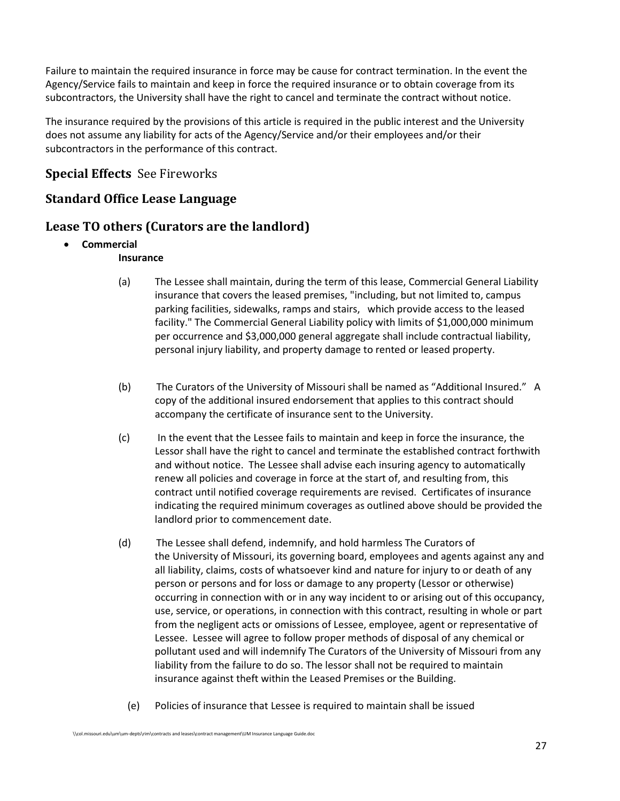Failure to maintain the required insurance in force may be cause for contract termination. In the event the Agency/Service fails to maintain and keep in force the required insurance or to obtain coverage from its subcontractors, the University shall have the right to cancel and terminate the contract without notice.

The insurance required by the provisions of this article is required in the public interest and the University does not assume any liability for acts of the Agency/Service and/or their employees and/or their subcontractors in the performance of this contract.

## <span id="page-26-0"></span>**Special Effects** See Fireworks

#### <span id="page-26-1"></span>**Standard Office Lease Language**

#### <span id="page-26-2"></span>**Lease TO others (Curators are the landlord)**

- **Commercial**
	- **Insurance**
	- (a) The Lessee shall maintain, during the term of this lease, Commercial General Liability insurance that covers the leased premises, "including, but not limited to, campus parking facilities, sidewalks, ramps and stairs, which provide access to the leased facility." The Commercial General Liability policy with limits of \$1,000,000 minimum per occurrence and \$3,000,000 general aggregate shall include contractual liability, personal injury liability, and property damage to rented or leased property.
	- (b) The Curators of the University of Missouri shall be named as "Additional Insured." A copy of the additional insured endorsement that applies to this contract should accompany the certificate of insurance sent to the University.
	- (c) In the event that the Lessee fails to maintain and keep in force the insurance, the Lessor shall have the right to cancel and terminate the established contract forthwith and without notice. The Lessee shall advise each insuring agency to automatically renew all policies and coverage in force at the start of, and resulting from, this contract until notified coverage requirements are revised. Certificates of insurance indicating the required minimum coverages as outlined above should be provided the landlord prior to commencement date.
	- (d) The Lessee shall defend, indemnify, and hold harmless The Curators of the University of Missouri, its governing board, employees and agents against any and all liability, claims, costs of whatsoever kind and nature for injury to or death of any person or persons and for loss or damage to any property (Lessor or otherwise) occurring in connection with or in any way incident to or arising out of this occupancy, use, service, or operations, in connection with this contract, resulting in whole or part from the negligent acts or omissions of Lessee, employee, agent or representative of Lessee. Lessee will agree to follow proper methods of disposal of any chemical or pollutant used and will indemnify The Curators of the University of Missouri from any liability from the failure to do so. The lessor shall not be required to maintain insurance against theft within the Leased Premises or the Building.
		- (e) Policies of insurance that Lessee is required to maintain shall be issued

<sup>\\</sup>col.missouri.edu\um\um-depts\rim\contracts and leases\contract management\UM Insurance Language Guide.doc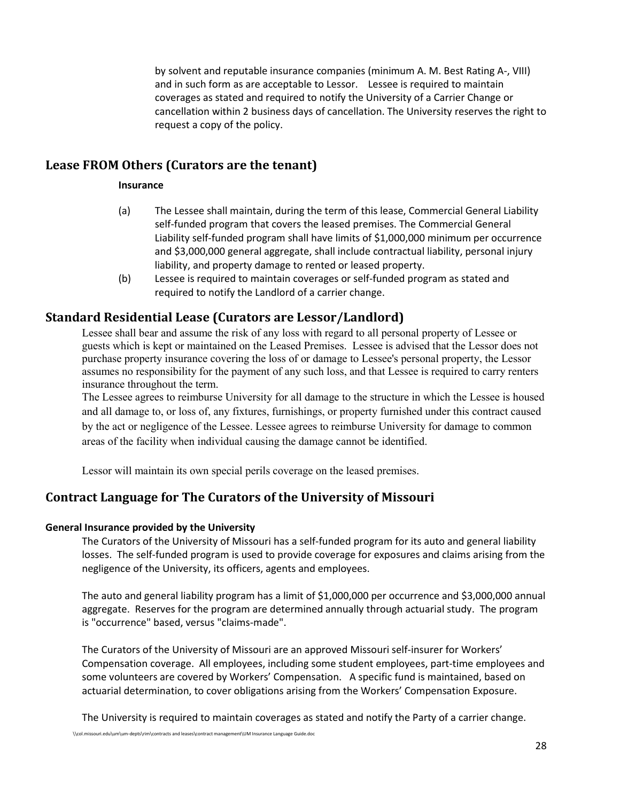by solvent and reputable insurance companies (minimum A. M. Best Rating A-, VIII) and in such form as are acceptable to Lessor. Lessee is required to maintain coverages as stated and required to notify the University of a Carrier Change or cancellation within 2 business days of cancellation. The University reserves the right to request a copy of the policy.

#### <span id="page-27-0"></span>**Lease FROM Others (Curators are the tenant)**

#### **Insurance**

- (a) The Lessee shall maintain, during the term of this lease, Commercial General Liability self-funded program that covers the leased premises. The Commercial General Liability self-funded program shall have limits of \$1,000,000 minimum per occurrence and \$3,000,000 general aggregate, shall include contractual liability, personal injury liability, and property damage to rented or leased property.
- (b) Lessee is required to maintain coverages or self-funded program as stated and required to notify the Landlord of a carrier change.

#### <span id="page-27-1"></span>**Standard Residential Lease (Curators are Lessor/Landlord)**

Lessee shall bear and assume the risk of any loss with regard to all personal property of Lessee or guests which is kept or maintained on the Leased Premises. Lessee is advised that the Lessor does not purchase property insurance covering the loss of or damage to Lessee's personal property, the Lessor assumes no responsibility for the payment of any such loss, and that Lessee is required to carry renters insurance throughout the term.

The Lessee agrees to reimburse University for all damage to the structure in which the Lessee is housed and all damage to, or loss of, any fixtures, furnishings, or property furnished under this contract caused by the act or negligence of the Lessee. Lessee agrees to reimburse University for damage to common areas of the facility when individual causing the damage cannot be identified.

Lessor will maintain its own special perils coverage on the leased premises.

#### <span id="page-27-2"></span>**Contract Language for The Curators of the University of Missouri**

#### **General Insurance provided by the University**

The Curators of the University of Missouri has a self-funded program for its auto and general liability losses. The self-funded program is used to provide coverage for exposures and claims arising from the negligence of the University, its officers, agents and employees.

The auto and general liability program has a limit of \$1,000,000 per occurrence and \$3,000,000 annual aggregate. Reserves for the program are determined annually through actuarial study. The program is "occurrence" based, versus "claims-made".

The Curators of the University of Missouri are an approved Missouri self-insurer for Workers' Compensation coverage. All employees, including some student employees, part-time employees and some volunteers are covered by Workers' Compensation. A specific fund is maintained, based on actuarial determination, to cover obligations arising from the Workers' Compensation Exposure.

The University is required to maintain coverages as stated and notify the Party of a carrier change.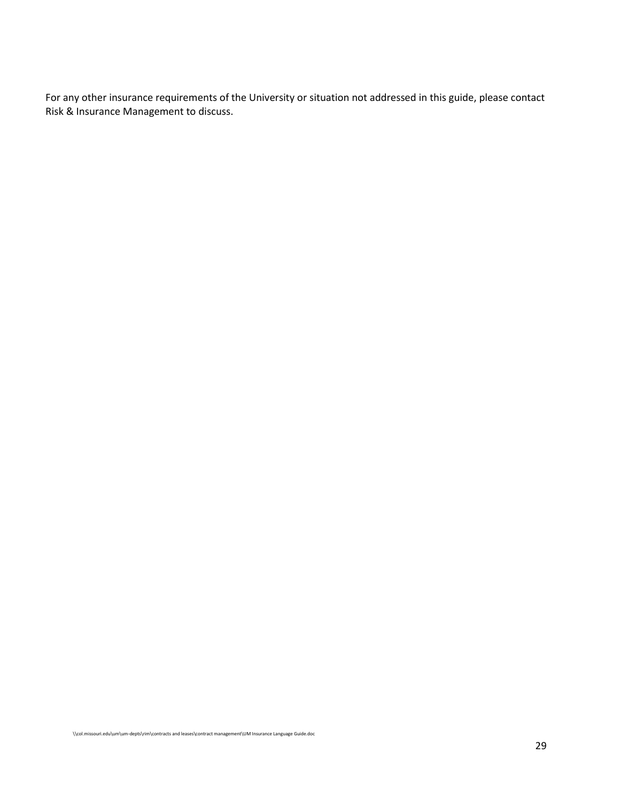For any other insurance requirements of the University or situation not addressed in this guide, please contact Risk & Insurance Management to discuss.